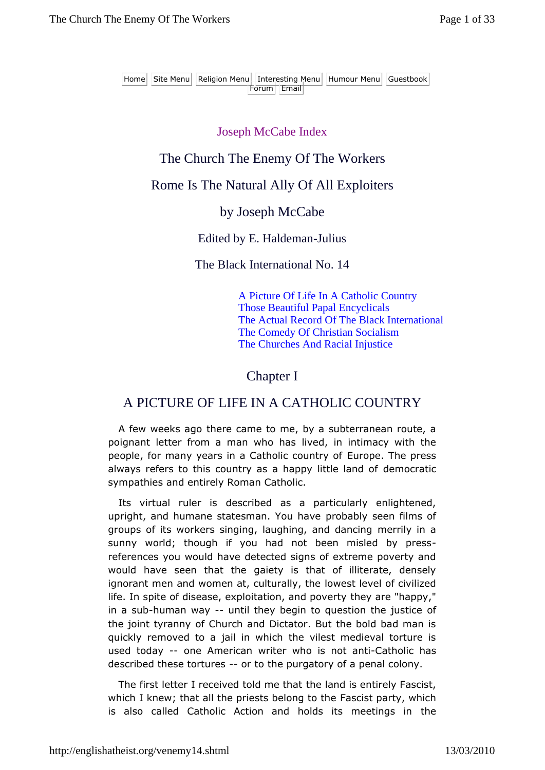#### Joseph McCabe Index

## The Church The Enemy Of The Workers

### Rome Is The Natural Ally Of All Exploiters

#### by Joseph McCabe

#### Edited by E. Haldeman-Julius

#### The Black International No. 14

A Picture Of Life In A Catholic Country Those Beautiful Papal Encyclicals The Actual Record Of The Black International The Comedy Of Christian Socialism The Churches And Racial Injustice

### Chapter I

## A PICTURE OF LIFE IN A CATHOLIC COUNTRY

A few weeks ago there came to me, by a subterranean route, a poignant letter from a man who has lived, in intimacy with the people, for many years in a Catholic country of Europe. The press always refers to this country as a happy little land of democratic sympathies and entirely Roman Catholic.

Its virtual ruler is described as a particularly enlightened, upright, and humane statesman. You have probably seen films of groups of its workers singing, laughing, and dancing merrily in a sunny world; though if you had not been misled by pressreferences you would have detected signs of extreme poverty and would have seen that the gaiety is that of illiterate, densely ignorant men and women at, culturally, the lowest level of civilized life. In spite of disease, exploitation, and poverty they are "happy," in a sub-human way -- until they begin to question the justice of the joint tyranny of Church and Dictator. But the bold bad man is quickly removed to a jail in which the vilest medieval torture is used today -- one American writer who is not anti-Catholic has described these tortures -- or to the purgatory of a penal colony.

The first letter I received told me that the land is entirely Fascist, which I knew; that all the priests belong to the Fascist party, which is also called Catholic Action and holds its meetings in the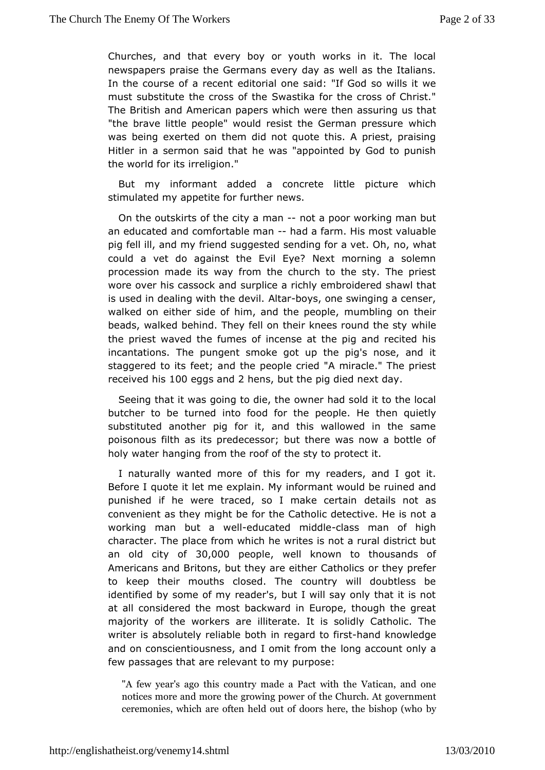Churches, and that every boy or youth works in it. The  $\mathbb H$ newspapersaise the Germans every day as well as the Italian In the course of a erdeicteomital one said: "If God so wills it we must substitute the cross was tike for the cross of Christ." The British and American paperst hwe hricans swuerrieng us that "the brave little people" would resist the Gwehrimaln pressure was being exerted on them did not quote this. A priest, pra Hitler an sermon said that he was "appointed by God to punish the world forriestiation."

But my informant added a concrete little picture which stimulated my appetite for further news.

On the outskirts of the eachity cat a poor working man but an educated and comfortablhed manfarhtis most valuable pig fell ill, and my friend suggested sendimog, foothaat vet. Oh, could a vet do against the Evil Eye? Next morning a sole procession ade its way from the church to the sty. The pries wore over his cassoscuk palmide a richly embroidered shawl that is used in dealing with AH taboys, one swinging a censer, walked on either side of him, and mtuhmebpline op loven their beads, walked behind. They fell on their knewersilreound the sty the priest waved the fumes of incense at the pig and recite incantations. The pungent smoke got up the pig's nose, an staggered to eids; and the people cried "A miracle." The pries received hoseggs aadhens, but the pig died next day.

Seeing that it was going to wohier, hild sold it to the local butcher to be turned into food for the heme oop u eet Inde substituted another pig for it, and this wallowed in the s poisonous filth as its predecessor; but there was now a bot holy watheanging from the roof of the sty to protect it.

I naturally wanted mtchries  $66r$  my readers, and I got it. Before I quote it let me expfarmantly would be ruined and punished if he were traced, so I mobekteailosentoitnas convenient as they might be for the Catholic datective. He is working man but aedweclatted midddlanss man of high character. The for bancewhich he writes is not a rural district but an old city 3@f,000 peoplewell known to thousands of Americans and Britons, but they are eother  $e\varphi$  apheofiecs to keep their mouths closed. The country will doubtless be identified by some of my reader's, but I will say only that it at aldonsidered the most backward in Europe, though the great majority of the woarkeerslliterate. It is solidly Catholic. The writer is absolutely relianblreedpantdh to-hiarnsd knowledge and on conscientiousness, and I olmonitg fact to that only a few passages that are releveaunt to semy

"A few year's ago this country ma\daetiacaPhacatnoditohnehe notices more and more the growing power eon the Antich. A ceremonies, which are often held out of dodorys here, the bi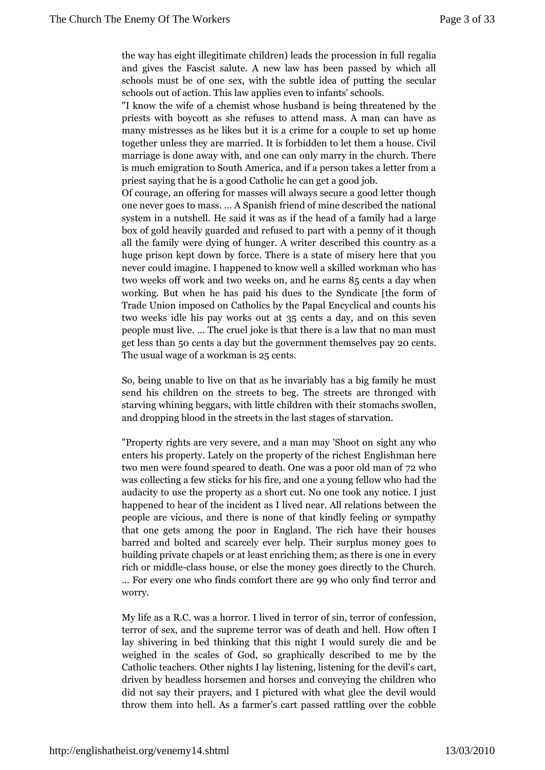the way has eight illegitimate children) lerædgaltihae procession and gives the Fascist salute. A new law has been passed schools must be of one sex, with the subtle idea of putting schools out of action. This law applies even to infants' scho "I knotwe wife of a chemist whose husband is being threate priests wooth bott as she refuses to attend mass. A man can many mistressel is the set it is a crime for a couple to set up together unlessmtanery ead relt is forbidden to let them a house. marriage is dow etha, way done can only marry in the church. is much emigration a moen Southand if a person takes a letter from priest saying that hCeatissoalig cheed can get a good job. Of courage, an offering fad wany as ses uwella good letter though one never goes to massfriend of praintend escribed the national system in a nutshell. Heifsahde ih ewaalso as family had a large box of gold heavily guarded aand dwith unsepde to by of it though all the family were dying of **diess greibed this tears untry as a** huge prison kept down by forceof Tmhiss reer yish arstahted you never could imagine. I happened to workmow a we wha staslled two weeks off work and tamed whee a a functionary when working. But when he has paid his dues to the Syndicate Trade Union imposed on Catholics by the Papal Encyclical  $i$ twoweeks idle his pay w3o5 csenot at a a adchady on this seven people mituset.  $\ldots$  The cruel joke is that there is a law that no get less 5thaments a day but the government dent theselves pay The usual waw.goorkomfo.an $25$ sents

So, being unable to live on that as a houginfamily the must send his children on the streets  $\texttt{a}$ oebbehoronToneed swhite hets starving whining beggars, with littlset och ald hen swoll heth, eir and dropping blood in the streets simart heetikens.t stages of

"Property rights are very severe, and sight any may hoshoot on enters his property. Lately on the peropeinsthymoration hermeichest two men were found speared to death. On play a poor old r was collecting a few sticks for his fire, ahddonheea young fel audacity to use the property as a short cutiun to one took ar happened to hear of the incident as I lived the area. All relatic people are vicious, and there is none of that kindly feelin that one gets among the poor in England. The rich have barred abmodted and scarcely ever help. Their surplus money building prowapels or at least enriching them; as there is on rich moniddle ass house, or else the money goes directly to the  $\ldots$  Feovery one who finds com $9$  B wth to heared yaftend terror and worry.

My life as a R.C. was a horror. I live  $\mathsf{d}$  ficotreferession, sin, terror of  $\mathsf{d}$ terror of sex, and the supreme terror who as oftelealth and hel lay shivering in bed thinking that this night bewould surel weighed in the scales of God, so graphically described t Catholic teachers. Other nights I lay listenionagt, listening for driven by headless horsemen and horses and conveying the did not say their prayers, and I pictured with what glee the throwhem into hell. As a farmer's cart passed rattling over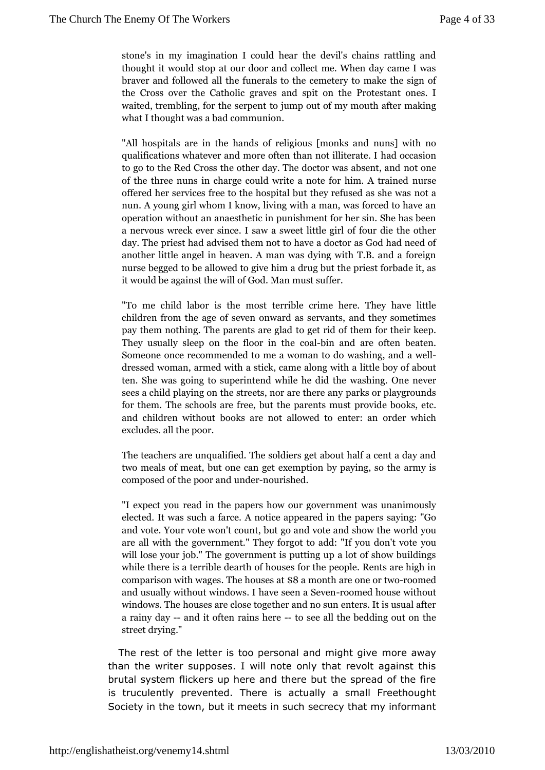stone's min imagination I could hear the devil's chains ratt thought it wound dat our door and collect me. When day came braver and foll the dual drais to the cemetery to make the si the Cross over thegr& ae bobined spit on the Protestant ones waited, trembling, fortohjeurserpent to f my mouth after making what I thought was a manubusid on.

"All hospitals are in the hands of reluimgs  $\phi$  uwsith monocks and qualifications whatever and more oftehath an cracsticihliterate. to go to the Red Cross the other day. The od occrter was absent of the three nuns in charge could write anwose for him. A offered her services free to the hospital bubtthaey refused a nun. A young girl whom I know, living with a man, was forc operation without an anaesthetic in punishment for her sin. anervous wreck ever since. I saw a sweet little girl of fou dayThe priest had advised them not to have a doctor as God anoth bittle angel in heaven. A man was dying with T.B. and nurse begoge be allowed to give him a drug but the priest for l it would a beinst the will of God. Man must suffer.

"To me child labom of the rible crime here. They have little children from the agon wontale as as ervants, and they sometime pay them nothing. The patroenotestarined opliathem for their keep. They usually sleep on the oabloin aim d thee often beaten. Someone once recommended to mweashiwng, maand-oadwoell dressed woman, armed with a stickl, it the mile of a long a low of untrial ten. She was going to superintenwda whiing. h@ndeichether sees a child playing on the streeptarknsoorapelatyhgernoeumadnsy for them. The schools are free, but ownedep books, metus t and children without books are not adlow redwhoichenter: an excludes. all the poor.

The teachers are unqualid filends. The about half a cent a day and two meals of meat, butexonement and polet paying, so the army is composed of the upnocher roaunroished.

"I expect you read in the papers hwo aws ouurragionse unstringent elected. It was such a farce. A notice sapy  $\mathbf p$  negare " $\mathbf G$  on the papers of  $\mathbf p$ and vote. Your vote won't count, but gowaomed vyode and show are all with the government." They forgot to add: "If you c will lose your job." The government is putting up a lot of s while there is a terrible dearth of houses for the people. R  $comparison$  with twee one suits  $\$8$  a at month are onereor or to divoral  $\omega$  or andusually without windows. I harvee meed nhau Seven ithout windows. hTo husses are close to gether and no sun enters. It is a rainy -day dit often raintso hseen ee all the bedding out on the stredtying."

The rest of the letter is too personal annodema gy any give than the writer supposes. I will note only that revolt agains brutal system flickers up here and there but the spread of th is truculently prevented. There is actually a small Freethold Society in ttchwen, but it meets in such secrecy that my informan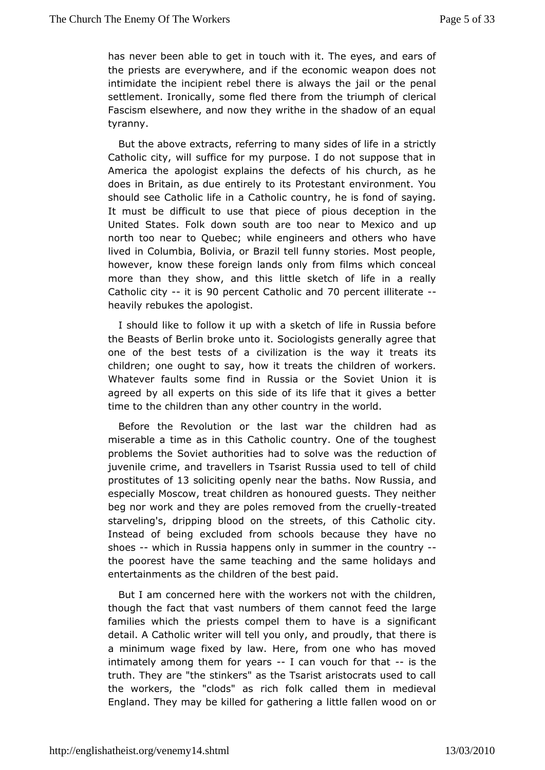has never been ableintotoguedh with it. The eyes, and ears of the priests are everywhere, eacnoch of mit a eweapon does not intimidate the incipient rebel there is carlwthes ptehreal jail settlement. Ironically, some fled there from the theodiumph of Fascism elsewhere, and now they writhe in the shadow of an tyranny.

But the above extracts, referring to many sstirdes ly of life in a Catholic city, will suffice for my purpose. I do not suppose t America the apologist explains the defects of his church, as does in Britaasindue entirely to its Protestant environment. Yo should see Catholic Ciatehonic country, he is fond of saying. It must be difficult to use tchfatpipoliescedeception in the United States. Folk down south are too manadrup Mexico north too near to Quebec; while engineers and others who h lived Cholumbia, Bolivia, or Brazil tell funny stories. Most peo however, kntohwese foreign lands only from films which concea more than they show, ahid this betch of life in a really Catholic  $c$ ity i $\mathcal{D}$  percent Catholic Comed cent illiterate heavily rebukes the apologist.

I should like thow it up with a sketch of life in Russia befor the Beasts of Berlin httpokte Sociologists generally agree that one of the best testsivafizaation is the way it treats its children; one ought to say, hotwheitchriedartesn of workers. Whatever faults some find in Russia or the Ssoviet Union agreed by all experts on this side of its life that it gives a timeto the children than any other country in the world.

Before the Revoloution the last war the children had as miserable a time as in this  $\alpha$  atholic ne of the toughest problems the Soviet authorities had the selu wears of juvenile crime, and travellers in Tsarist Rossia ludsed to tell prostitutes 13 as oliciting openly near the wb arthos, saint d especially Moscow, treat children as honoured guests. They n beg nor woamkd they are poles removed from trebaet ceduelly starveling's, drippin on bitch ond streets, of this Catholic city. Instead of being excluded from ecsachsoeolshey have no shoes-which in Russia happens only in scomumetryin the the poorest have the same teaching and the same holidays entertainments as the children of the best paid.

But I am concerned with berthe workers not with the children, though the fact that vast numbers and feed the large families which the priests compel themstognifral and the same is a detail. A Catholic writer will tell you only, the depirsoudly, that a minimum wage fixed by law. Here, from one who has mov intimate  $d$  y mong them for ye  $d$  rosan vouch for --theat the truth. They arestime ers" as the Tsarist aristocrats used to call the workers, the "clodisch asplk called them in medieval England. They may be killed for ligtalten et all a gnawood on or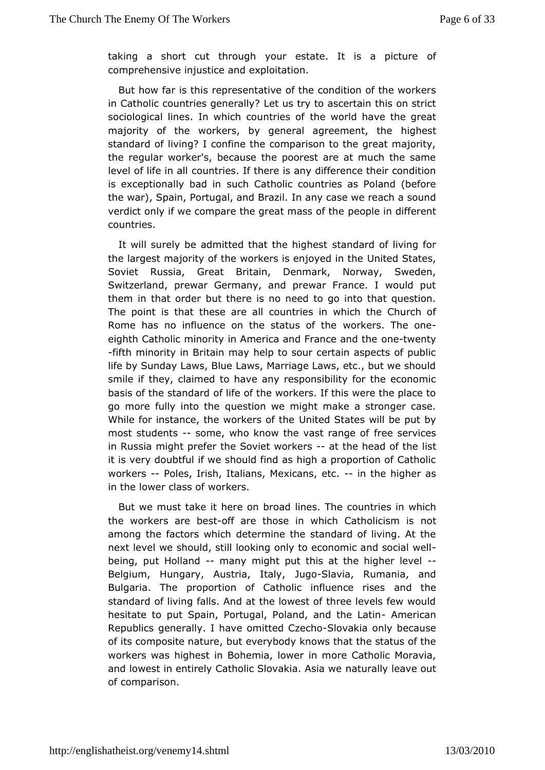taking a short cut through your estate. It of is a picture comprehensive injustice and exploitation.

But how far isrethis sentative of the condition of the workers in Catholic countries generally  $r$  to ascertain this on strict sociological lines. In which doen woeled of fave the great majority of the workers, by general agreeighmest, the standard of living? I confine the comparison to the great maj theregular worker's, because the poorest are at much the same level of life doualt tries. If there is any difference their condition is exceptionally bad hin Catholic countries as Poland (before the war), Spain, Portugal, am dan By aczaise we reach a sound verdict only if we compare the great emplos ionf different countries.

It will surely be admitted that shaen bag blest living for the largest majority of the workers is Lemit to Stiantebe Soviet Russia, Great Britain, Denmark, Norway, Swede Switzerland, prewar Germany, and prewar France. I would them in that obderthere is no need to go into that question. The point is that these countertrailels in which the Church of Rome has no influence on the stwortweet the one eighth Catholic minority in America and oFnreat now een taynd the -fifth minority in Britain may help to sour certain aspects of life by Sunday Laws, Blue Laws, Marriage Laws, etc., but we should smile they, claimed to have any responsibility for the econom basis of the stamidain the workers. If this were the place to go more fully into ut the might make a stronger case. While for instance, the workers text Shates will be put by most students ome, who know the vast framed as early ices in Russia might prefer the Sovietat worke hesad of ishe it is very doubtful if we should find as high a proportion of C workers-Poles, Irish, Italians, Mexicamsheethigher as in theower class of workers.

But we must take it here on broadoline est he which the workers are-oblesatre those in which Cathmoloitcism is among the factors which determine the standard of living. A next lewee should, still looking only to economic and social w being, put Hollamany might put this at the higher level Belgium, Hungary, Austria, JugheBallayyia, Rumania, and Bulgaria. The proportion of Catholic imafridenthe rises standard of living falls. And at the lowest of three levels few hesitate to put Spain, Portugal, Poland, Aamedrithaen Latin Republicenerally. I have omitted Clovakha only because of its composite robautu rea, ery body knows that the status of the workers was highest in Bohemiam doew Catholic Moravia, and lowest in entirely Catholic SlovakuaalAysilæawe out of comparison.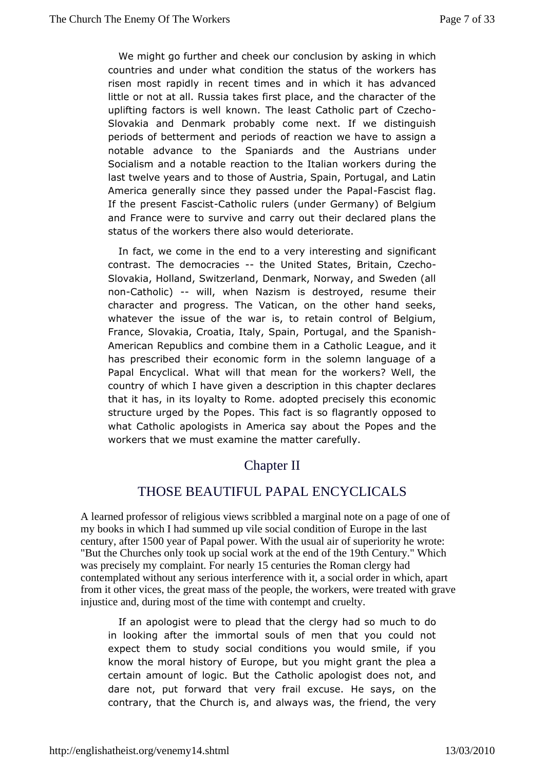We might go further and concered upsuion by asking in which countries and under what condition tthe workers sofias risen most rapidly in recent times and in which it has adva little or not at all. Russia takes first place, and the characte uplifting factors is well known. The least Catholic part of C Slovakia aldenmark probably come next. If we distinguish periods of betterment and fperiacd son we have to assign a notable advance to the Spaniards undartheunder Socialism and a notable reaction to the Italiah eworkers during last twelve years and to those of Austria, Spain, Portugal, an America generally since they passed ufidecisheflagpal If the preseascistatholic rulers (under Germany) of Belgium and France were to audvioveerry out their declared plans the status of the workers there desterwoorualton.

In fact, we come in the end to a very insitgenrief sitiannat and contrast. The democraties United States, ECTzieacimq Slovakia, Holland, Switzerland, Denmark, Norway, and Swede nonCatholie) will, when Nazism is destroyed, resume their character aprodgress. The Vatican, on the other hand seeks, whatever the issue of ibe twaretain control of Belgium, France, Slovakia, Croatia, Itadytugal, mand the Spanish American Republics and combine them LeagueCathoollic League has prescribed their economic form in the solemn language Papal Encyclical. What will that mean for the workers? Wel country which I have given a description in this chapter decla that it has, ilroyiasty to Rome. adopted precisely this economic structure urged by the T Pricsp (ease t is so flagrantly opposed to what Catholic apologists in Amero beat  $\log P$  opes and the workers that we must examine the emulityer

# Chapter II

# THOSE BEAUTIFUL PAPALENCYCLICALS

A learned professor of religious views scribbled a marginal or the page of one of my books in which I had summed up vile social condition  $\mathbf{\overline{u}}$  of  $\mathbf{\overline{v}}$  in the last century after 1500 year of Papal power With the usual ainf superiority he wrote: "But the Churches only took up social work at the entime 19th Century" Which was precisely my complain For nearly15 centuries the Roman clergy had contemplated without any serious interference with stocial order in which, apart from it other vices, the great mass of the pedble workers, were treated with grave injustice and, during most of the time with the mpt and cruelty.

If an apologist were to plead that the modelng to had also in looking after the immortal souls of men that you could expecthem to study social conditions you would smile, if y know the moral hiosftdErwyrope, but you might grant the plea a certain amount of logic. Clatul othe apologist does not, and dare not, put forward that very freel seaxycsusen the contrary, that the Church is, and always was, ethe friend, the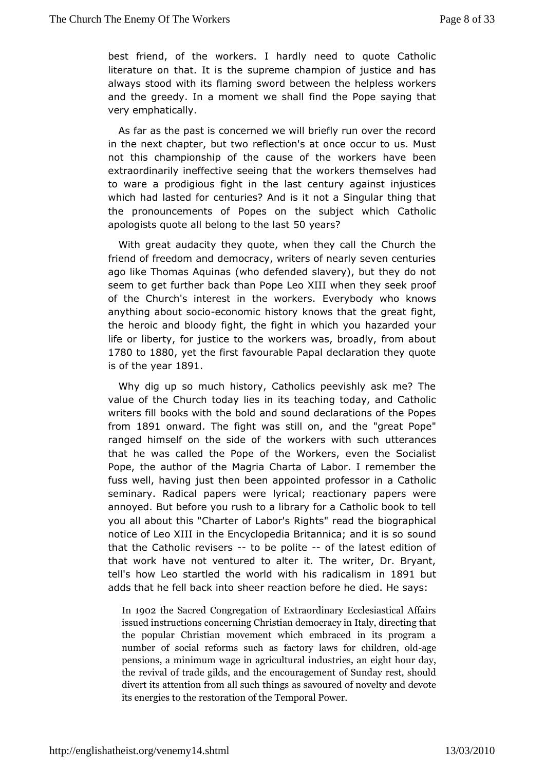best friend, of the workers. I hardly need to quote Cath literature that. It is the supreme champion of justice and ha always stood with intiming sword between the helpless workers and the greedy. In a moment iwed sheal Pope saying that very emphatically.

As far as the passictes are we will briefly run over the record in the next chapter, bettlet wto on's at once occur to us. Must not this championship of the cawsek enfs thave been extraordinarily ineffective seeing that the workers themselve to ware a prodigious fight in the last century against injust which had alsted for centuries? And is it not a Singular thing t the pronouncement Ropods on the subject which Catholic apologists quote all belong 5tOby the sl?ast

With great audacity they quote, when they call the Church friend of freedom and democracy, writers of nearly seven cen ago likTehomas Aquinas (who defended slavery), but they do n seem to get furtherhaacRope Leo XIII when they seek proof of the Church's interest in the veroy the dy. who knows anything about  $-\theta$  oo hoo mic history knows that fighet, great the heroic and bloody fight, the fight in which you hazarded life diberty, for justice to the workers was, broadly, from ab 1780 to1880 yetthe first favourable Papal declaration they quote is of the y1e&a91.

Whydig up so much history, Catholics peevishly ask me? The value of the Chodahy lies in its teaching today, and Catholic writers fill books with atholde should declarations of the Popes from1891 on ward The fight was stidhdonthe "great Pope" ranged himself on the side of the work we the such that he was called the Pope of the Workers, even the Soc Popethe author of the Magria Charta of Labor. I remember the fuss well, havingheuns been appointed professor in a Catholic seminary. Radical papers iwere reactionary papers were annoyed. But before you rush to a Clabhariy cf book to tell you all about this "Charter of Labor's Roigongtresa" pheeanal the notice of Leo XIII in the Encyclopedia Britanoured; and it is so that the Catholic re $\nu$ tisebe polite f the latest edition of that work have not ventured to alter it. The writer, Dr. Bry tell's how atevertied the world with his radio8c9a1lbisum in adds that he fell baschke eint beaction before he died. He says:

In1902 he Sa Croend gregation of Extraordinary Ecclesiastical , issued instructions christian democracy in Italy, directi the popular Chmics teament which embraced in its program number of social reformasctory chlaaves for ch-algleen, old pensions, a minimum wage iimd as triiceusl tuanal eight hour day, the revival of trade gelmdoso, uanaglemineent of Sunday rest, should divert its attention from all ssaucchurt bidings novelty and devote its energies to the restTo erration on  $P \phi$  have r.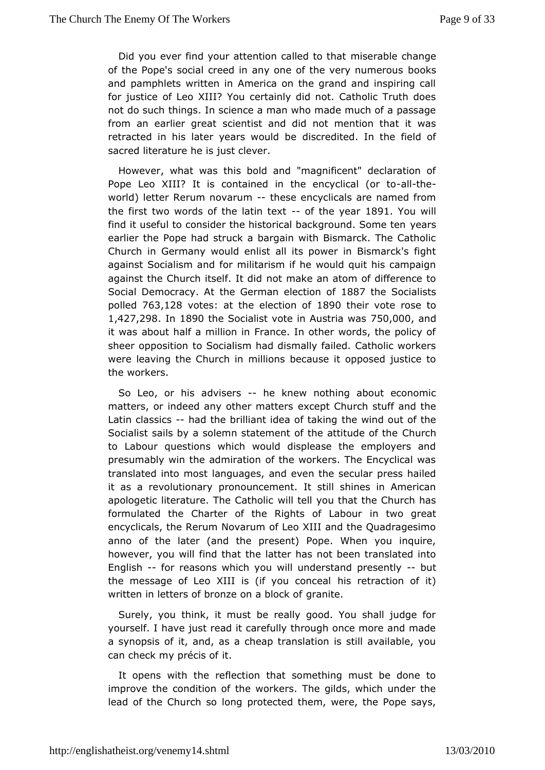Did you ever find your attention craisleed attoolet hoahtange of the Pope's social creed in any one of the owe by numerous and pamphlets written in America on the grand and inspiring forjustice of Leo XIII? You certainly did not. Catholic Truth not do sutchings. In science a man who made much of a passag from an earlier gceentist and did not mention that it was retracted in his later years dwscculeddibed. In the field of sacred literature he is just clever.

Howevem, hat was this bold and "magnificent" declaration c Pope Leo XIII? donitsained in the encyclical Hther to world) letter Rerum novtchreusmencyclicals are named from the first two words of the -ladinthexyeda891You will find it useful to consider the historical backgeral using Some ten earlier the Pope had struck a bargain with Bismarck. The Ca Churchn Germany would enlist all its power in Bismarck's fi against Socialismforammdilitarism if he would quit his campaign against the Church its en b.t Im adkid an atom of difference to Social Democracy. At the German18887 this no Contialists polled63,12& otesat the election 8 & Otheir vortosse to 1,427,298 n 1890 the Socialist vote in Au7s510i,a00 Maansd it waabout half a million in France. In other words, the polic sheer oppositto Shocialism had dismally failed. Catholic worker were leaving the Chunrich ioims because it opposed justice to the workers.

So Leo, or and siser-she knew nothing about economic matters, or indeed any otheex meapte C shurch stuff and the Latin classibad the brilliant idea bheta kiimot out of the Socialist sails by a solemn statement of th@hattihude of the to Labour questions which would displease the employers presumabwyn the admiration of the workers. The Encyclical was translated into lanostages, and even the secular press hailed it as a revoluti**onan** puncement. It still shines in American apologetic literature. The iClathollicou that the Church has formulated the Charter of the Rights of two abouart encyclicals, the Rerum Novarum of Leo XIII and the Quadrage anno of the later (and the present) Pope. When you inqu however, you finid that the latter has not been translated into English-for reasons wyhoch will understand presbeuntly the message of Leo XIII is (if yhois comractation of it) written in letters of bronze ogranditeck of

Surely, you think, it must be really good. You shall judge yourself. I have just read it carefully through once more and a synopsisitofand, as a cheap translation is still available, y can check my prétis of

It opens with the reflection that something must be done improvehe condition of the workers. The gilds, which under t lead of the Churlochings oprotected them, were, the Pope says,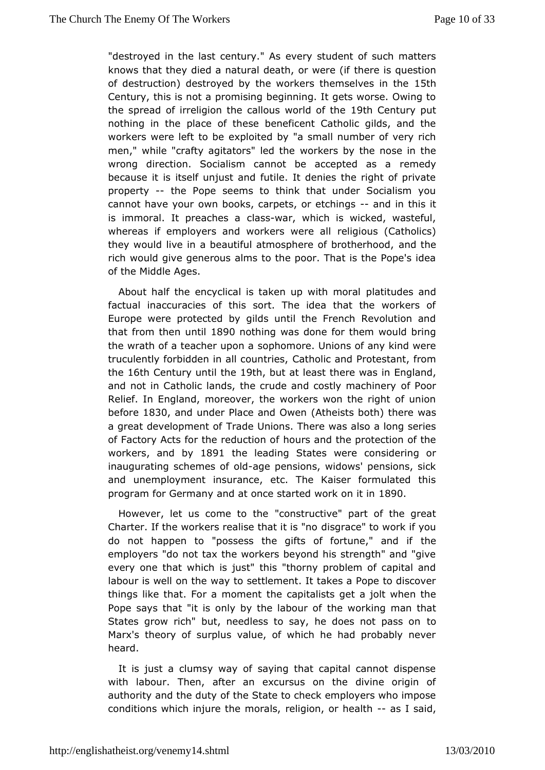"destroyed in the last cenetwery" salusdent of such matters knows that they died a natural death heore were reune is then of destruction) destroyed by the workers the footselves in the Century, this is not a promising beginning. It gets worse, Ow thespread of irreligion the callous  $w$ Sobri $\mathbb C$  exprtuinte put nothing in phace of these beneficent Catholic gilds, and th workers were left etoop loo eted by "a small number of very rich men," while "crafty agitators" by rile of the nose in the wrong direction. Socialism cannot be acempetdeyd as a because it is itself unjust and futile. It denies the right of property- the Pope seems to think that under Socialism you cannot have yown books, carpets, or etacmiding rs this it is immoral. It preacchas war, which is wicked, wasteful, whereas if employers and workers livge ousa (Catholics) they would live in a beautiful atmosphere and brotherhood, rich would give generous alms to the poor. That is the Pope' ofthe Middle Ages.

About half the encyclical is taken updawit tunders band factual inaccuracies of this sort. The idea that the worke Europe were protected by gilds until the French Revolution that from then till 890 nothing was done for them would bring the wrath of a teacher supbon maore. Unions of any kind were truculently forbidden in all Coad throtice and Protestant, from the16th Century until Sttheout at leastere was in England, and not in Catholic lands, the crude and coofs Ployom achinery Relief. In England, moreover, the workers won the right of union befor \$30 and under Place and A Oth easts both ere was a great developmenadoef Unions. There was also a long series of Factory Acts for the reldout iso anodf the protection of the workers and by 1891 the leading States coving dering or inaugurating schemes age phech sions, widows' pensions, sick and unemployment insurance, etc. The Kaiser formulated program for Germand yat once started work 809n0 it in

However, let us come "to this uctive" part of the great Charter. If the workers realise dhisad riatcies" "troowork if you do not happen to "possess the gifts of fotrituene," and if employers "do not tax the workers beyond his strength" and ' every onthat which is just" this "thorny problem of capital and labour is well ownay hteo settlement. It takes a Pope to discover things like that. For a the meaptitalists get a jolt when the Pope says that "it is only by the belaw boonkring of man that States grow rich" but, needless to say, he doces not pass c Marx's theory of surplus value, of which he had probably n heard.

It is just a clumsy way of saying that capital cannot disp withlabour. Then, after an excursus on the divine origin authority and theold the State to check employers who impose conditions which injure thee Imopiconls, or he-adshil said,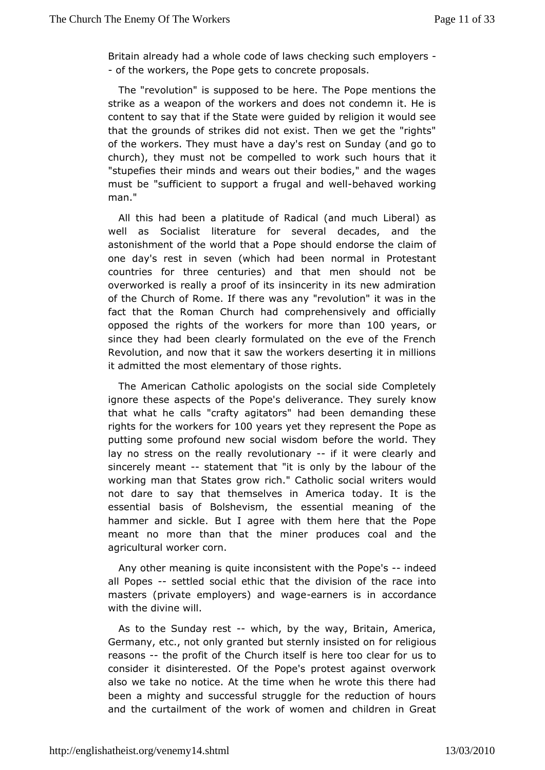Britain already had a whole condecating was chemp-lovers - of the workers, the Pope gets dooposals.

The "revolution" is supposed to be here. The Pope mentions strike as a weapon of the workers and does not condemn it. content to that if the State were quided by religion it would see that the grounds trick fess did not exist. Then we get the "rights" of the workers. They musdaly as east on Sunday (and go to  $church)$ , they must not be compelled  $th$  werkhaucih "stupefies their minds and wears out their bodies." and the v must be "sufficient to support a fr-worehal and working man."

Allthis had been a platitude of Radical (and much Liberal) well as Sociallitetrature for several decades, and the astonishment of the world that ald comedorse the claim of one day's rest in seven (which had be@notreositantal in countries for three centuries) and that men should not overworked really a proof of its insincerity in its new admirat of the ChurcRoomfe. If there was any "revolution" it was in the fact that the Roman Chucolm phraedhensively and officially opposed the rights of the workers for to myoerars storman since they had been clearly formulated on the eve of the Fr Revolution, and now that it saw the workers deserting it in m it admittende most elementary of those rights.

The American Catholic apotogisstoscioan side Completely ignore these aspects of the Pope's delsive thy denow hey that what he calls "crafty agitators" had been demanding  $t$ rights for the work tosy fours yet they represent the Pope as putting sophreofound new social wisdom before the world. They lay no stress on therenecallultyionary' it were clearly and sincerely meastatement that birtlysby the labour of the working man that States grow rich." Cwartihet isc wsoowlical not dare to say that themselves in America today. It is essential basis of Bolshevism, the essential meaning of hammer and sid Rule. I agree with them here that the Pope meant no more than that the rondiunceers coal and the agricultural worker corn.

Any other meaning is n quits is tent with the -Prophet est all Popessettled social ethibethat vision of the race into masters (private employers) - eannich ewages acrosordance with the divine will.

As to the Sunday-ruestch, by twheey, Britain, America, Germany, etc., not only granted but stefolyren sg soled on reasons the profit of the Church itself is here stoo clear for consider it disinterested. Of the Pope's protest against ove also wteake no notice. At the time when he wrote this there h been a mighty saurcocless ful struggle for the reduction of hours and the curtailment of tote women and children in Great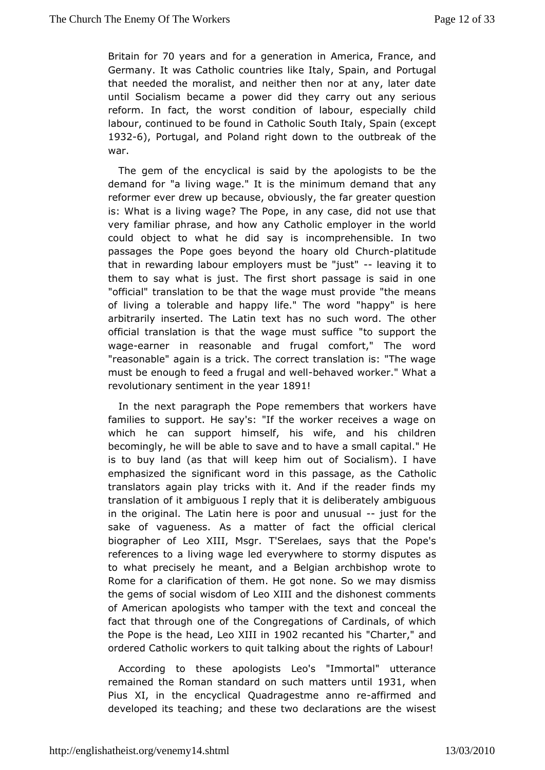Britain foot years and for a generAamionician. France, and Germany. It was Catholic countries like IPadytugpbain, and that needed the moralist, and neither then nor at any, later untilSocialism became a power did they carry out any serious reform. In fact, wortet condition of labour, especially child labour, continued to be Cfauthod its South Italy, Spain (except 19326), Portugaand Poland right down outbreak of the war.

The gem of the encyclical is seepid docyististe to be the demand for "a living wage." It is the minimuamydemand that reformer ever drew up because, obviously, the far greater que is: What a living wage? The Pope, in any case, did not use  $t$ very familiar phandehow any Catholic employer in the world could object to what he didncsoamyprishensible. In two passages the Pope goes beyond th@hboarth hat old de that in rewarding labour employers m-usteaben'giudest" them to say what is just. The first short passage is said in "officialthanslation to be that the wage must provide "the meal of living a tolearable appy life." The word "happy" is here arbitrarily inserted. The Latinn textuch word. The other official translation is that the wage to usuip poent ticted  $e$ wageearner in reasonable and frugal comfort," The wor "reasonable" again is a trick. The correct translation is: "The must beenough to feed a frugal-beenhda weed I worker." What a revolutionary sentiment yeta8r9!

In the next paragraph the Pope remembershatheat workers families to support. He say's: "If the worker receives a wag which hecan support himself, his wife, and his children becomingly, he will besaawbeleathed to have a small capital." He is to buy land (as that will keep Somoiaolusm). I have emphasized the significant word in this plasts handleng as the translators again play tricks with it. And if the reader find translation of it ambiguous I reply that it is deliberately ambiguous in the riginal. The Latin here is poor -and sturios utahle sake of vaguen&ss.a matter of fact the official clerical biographer of Leo XIII,T'SMesigerlaes, says that the Pope's references to a living wage led esseory many edes ploates as to what precisely he meant, and a Belgian archbishop wrot Rome for a clarification of them. He got none. So we may dist the gems soofcial wisdom of Leo XIII and the dishonest comment of American apologist tes who with the text and conceal the fact that through one of the Congr@gadionss, of which the Pope is the theoad KIII is not are canted "Chaarter," and ordered Catholic workers to quit talking a bloauto ture rights of

According to these apologists Leo's "Immortal" utterar remainetohe Roman standard on such matt 1981, swhen thil Pius  $X1$ , in the enc $Q$  colaid addestme anna officered and developed its teaching; and deels ear attwoons are the wisest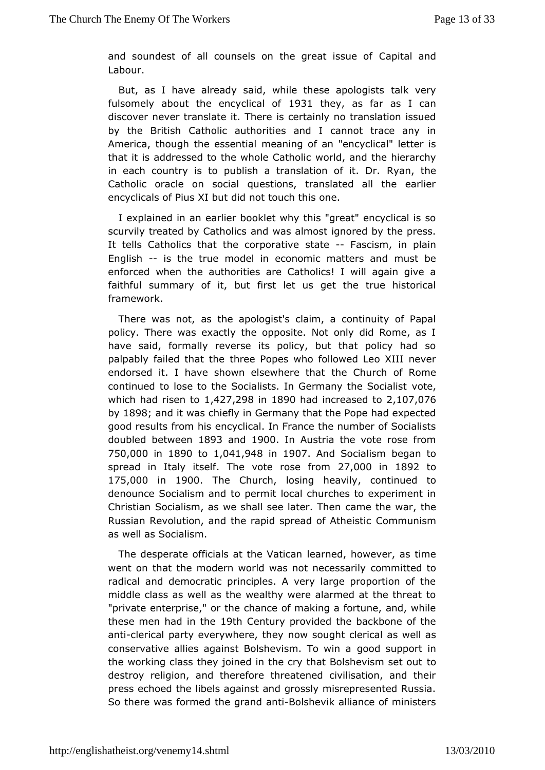and soundest of all counsels on the dCraenaittails sauned of Labour.

But, as I have already said, while the sek axpeorlyogists fulsomely about the ency  $\mathbf{t}$  bistheso far as I can discover translate it. There is certainly no translation issued by the BritCs antholic authorities and I cannot trace any in America, though the emseantilimad of an "encyclical" letter is that it is addressed to the whow er I  $Q$  at ano dicthe hierarchy in each country is to publish a translartive and of the Dr. Catholic oracle on social questions, translated all the e encyclicals of Pius XI but did not touch this one.

I explained in a a hier booklet why this "great" encyclical is so scurvily treated by Cantidowias almost ignored by the press. It tells Catholics that the cootractoer-affiavescism, in plain English- is the true model in economic mattsetrsbeand enforced when the authorities are Catholics! I will again g faithful summary of it, but first let us get the true histo framework.

There was not, as the apologist's claim, a continuity of F policy. There was exactly the opposite. Not only did Rome, have saiflormally reverse its policy, but that policy had s palpably failed thtat rethe Popes who followed Leo XIII never endorsed it. I have shown elsewheer@churah of Rome continued to lose to the Socialists. In Germwanty the Socialist which had risen  $4t207$ , 29 $8181890$  had increase $2d$ , 1t $@7$ , 076 by1898 and it was chiefly in Germany that the Pope had expect good results from chyislical. In France the number of Socialists doubled between3and1900In Austria the vote rose from 750,000 n 1890 to 1,041,94 ish 1907 And Social been gan to spread in Italy iThe if vote rose 2r70, 000 in 1892 to 175,000 in 1900 The Church osing heavid opnious do denounce Socialism and **to cate chutches** to experiment in Christian Socialism, as we shall seemetehe Twheern, the Russian Revolution, and the rapid spreCaod montu**Athemistic** as well as Socialism.

The desperate officials at the arwinedic ahrowever, as time went on that the modern world was nodomenciets solariby radical and democratic principles. A very large proportion of middle class as well as the wealthy were alarmed at the thre "privateenterprise," or the chance of making a fortune, and, wh these men had in Stthe Century provided the backbone of the anticlerical party everywherew they ught clerical as well as conservative allies against Bolshevicsomod Tsoupwpionrtain the working class they joined in the cry that Btoolshevism set destroy religion, and therefore threatened civilisation, and  $p$ res ${\tt seched}$  the libels against and grossly misrepresented  ${\sf Ru}$ . So there was fothmeed trand a Bondlishevik alliance of ministers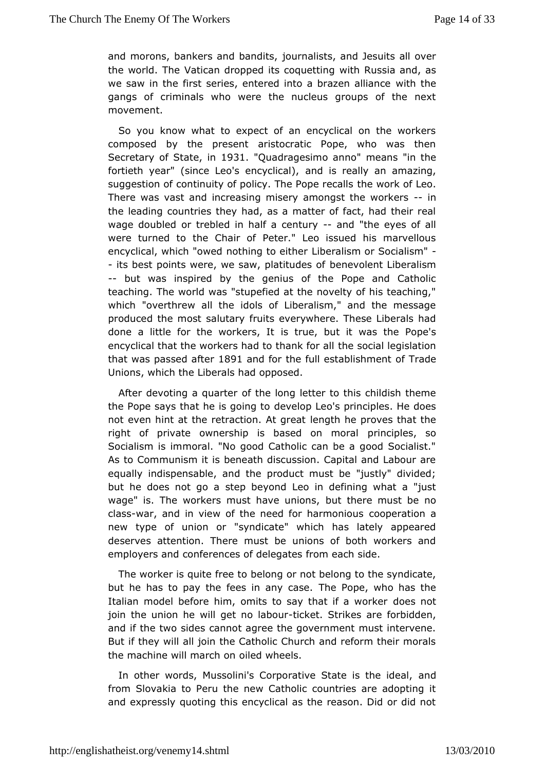and morons, bankers and ibanmdatists, and Jesuits all over the world. The Vatican dropped its it to contain gand, as we saw in the first series, entered into awbtrhazten alliance gangs of criminals who were the nucleus groups of the n movement.

So you know what to expect of an encyclical on the work composed by the present aristocratic Pope, who was th Secretary of Stat@31nQuadragesimo "ameans"in the fortieth year" (since Leo's eamody disicad), lly an amazing, suggestion of continuity of policy. The eP work roefc aldo. There was vast and increasing misery among-sitn the workers the leading countries they had, as a matter of fact, had their wage doubloerd trebled in half a c-eant drythe eyes of all were turned to the C<sup>R</sup>eeitre rof Leo issued his marvellous encyclical, which "owed nothin high to adit ime ror Socialism" - its best points were, we saw, polanietud besn to fLiberalism -- but was inspired by the genius of the Pope and Catho teaching. The world was "stupefied at the novelty of his teac which"overthrew all the idols of Liberalism," and the messa produced the mabuttary fruits everywhere. These Liberals had done a little for the worketsuelt but it was the Pope's encyclical that the workers had to the associal laelogislation that was passed 1 & for and for the full establoifs hTm and held Unions, which the Liberals had opposed.

After devoting a quatatheer long letter to this childish theme the Pope says that he isdgoengot theo's principles. He does not even hint at the retractionen athgheaproves that the right of private ownership is based rion cipmes also Socialism is immoral. "No good Catholic can be a good Soci As to Communism it is beneath discussion. Capital and Labou equalliyndispensable, and the product must be "justly" divide but he does not sotoepabeyond Leo in defining what a "just wage" is. The workers must habet uthiomes, must be no classvar, and in view of the need for choaorpmeormatoiouns a new type of union or "syndicate" which has lately appea deserves attention. There must be unions of both workers employers and ferences of delegates from each side.

The worker is quite ble boen goor not belong to the syndicate, but he has to pay the fees in Tan ey Poopsee. who has the Italian model before him, omits to say tholaote is mao tworker join the union he will get-triok beat bo Sutrikes are forbidden, andif the two sides cannot agree the government must interve But if they awliljoin the Catholic Church and reform their moral the machine will marid below heels.

In other words, Mussolini's Corporative Staned is the ideal. from Slovakia to Peru the new Catholic countries are adopti andexpressly quoting this encyclical as the reason. Did or di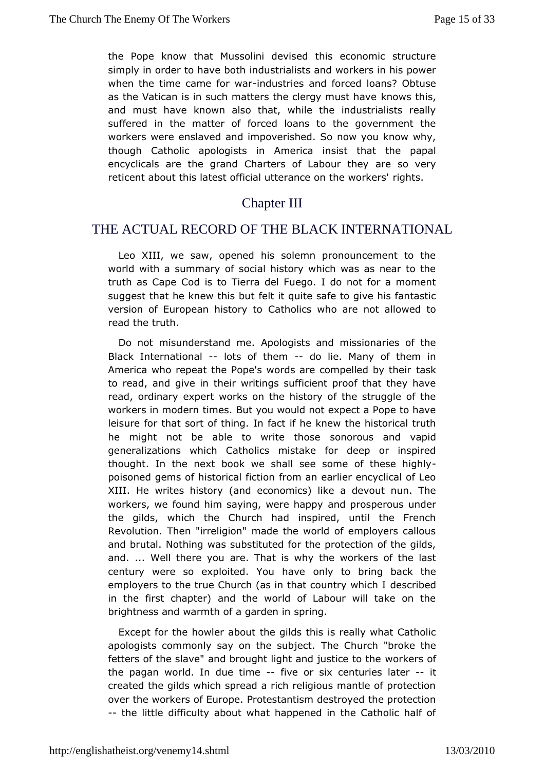the Pope kntchwat Mussolini devised this economic structure simply in order to hawned bostthialists and workers in his power when the time came fiond weat riend forced loans? Obtuse as the Vatican is in such matters the cllergy smultsits, have and must have known also that, while the industrialists  $r\epsilon$ suffered in the matter of forced loans to the government workers weemeslaved and impoverished. So now you know why, though Catholic apologAsmtericra insist that the papal encyclicals are the grand Charters of arleabsooun et they reticent about this latest official utterance ophts the workers'

### Chapter III

# THE ACTUAL RECORD OF THE BLACKINTERNATIONAL

Leo XIII, we saw, opened his solemn pronouncement to t world with a summary of social history which was as near to truth as CaCpoed is to Tierra del Fuego. I do not for a momen suggest that he knew faits ibuduite safe to give his fantastic version of European histathyolics who are not allowed to read the truth.

Do not misunderstan&ponlogists and missionaries of the Black Internation also of themdolie. Many of them in America who repeat the Pope's words are comaskilled by their to read, and give in their writings sufficient proof that they read prdinary expert works on the history of the struggle of workers in modiemes. But you would not expect a Pope to have leisure for that sort on thaintig if he knew the historical truth he might not be able to writseont hosses and vapid generalizations which Catholics mistake for deep or insp thought. In the next book we shall see some- of these high poisoned gembsisot fiction from an earlier encyclical of  $L_{\pm}$ XIII. He writes h(satrody economics) like a devout nun. The workers, we found him saying, wande phapperous under the gilds, which the Church had inspired, until the Fre Revolution. Then "irreligion" made the world of employers  $c\in$ and brutallothing was substituted for the protection of the gild and. ... Well theraereyouThat is why the workers of the last century were so exploited. Youly have bring back the employers to the true Church (as in that desantinby ewhich I in the first chapter) and the world of Labour will take on brightness and warmth of a garden in spring.

Except for the howlethaboulds this is really what Catholic apologists commonly say on the bau the rich "broke the fetters of the slave" and brought light annobination the the pagan world. In due ftime eor six centuries iltater created the gilds which spread a rich religious mantle of prot over thweorkers of Europe. Protestantism destroyed the protect -- the littdefficulty about what happened in the Catholic half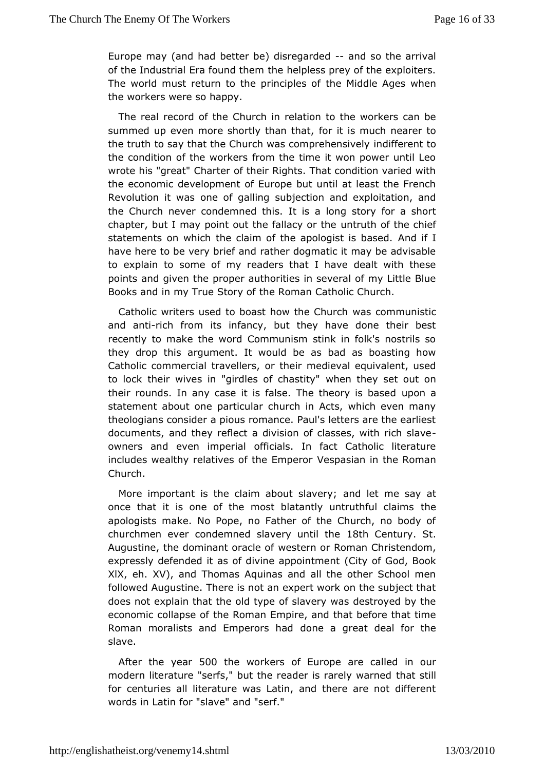Europe may (and both  $\det$  be) disregard red so the arrival of the Industrial Era found the top less prey of the exploiters. The world must return to the pthrecildliedslefAges when the workers were so happy.

The real record  $G$ fhutheh in relation to the workers can be summed up even more shortly than it that imuch nearer to the truth to say that the Church was coimmo inferent to the ly the condition of the workers from the time it won power until wrote his "great" Charter of their Rights. That condition varie theeconomic development of Europe but until at least the Fre Revolution it own as of galling subjection and exploitation, and the Church never condemned sthaislong story for a short chapter, but I may point out the fahltar author of this e chief statements on which the claim of the apology statish based. have here to be very brief and rather dogmatic it may be advi to explain to some of my readers that I have dealt with the points and given rober authorities in several of my Little Blue Books and in my True Sht er Roomfan Catholic Church.

Catholic writers used to boast how at the Communistic and antich from its infancy, but they have done their best recently to make the word Communism stink in folk's nostril they drop this ument. It would be as bad as boasting how Catholic commercial travellers medieval equivalent, used to lock their wives in "girdles whem habeity set out on their rounds. In any case it is false. The utcheroral is based statement about one particular church in Acts, which even r theologians consider a pious romance. Paul's letters are the  $\epsilon$ documents, and they reflect a division of classes, with rich slave owners and even impetricabls. In fact Catholic literature includes wealthy relatives of thespassion in the Roman Church.

More important is the claim aboantdslate mye; say at once that it is one of the most blatantly unheuthful claims apologists make. No Pope, no Father of the Church, no bod churchmen evendemned slavery until the ntursyt Augustine, the dominant we at earno for Roman Christendom, expressly defended it as of divine (GiptpyoinftmGoendt, Book  $XIX$ ,  $eh. XY$ ), and Thomas Aquinas and all the other School followed Augustine. There is not an expert work on the subjec does net plain that the old type of slavery was destroyed by the economic collapse Rioman Empire, and that before that time Roman moralists and Empedomse haadgreat deal for the slave.

After the  $y \in 20$  the workers of Earepealled in our modern literature "serfs," but the reader itshatansely warned for centuries all literature was Latin, and there are not dif words in Latin for "slave" and "serf."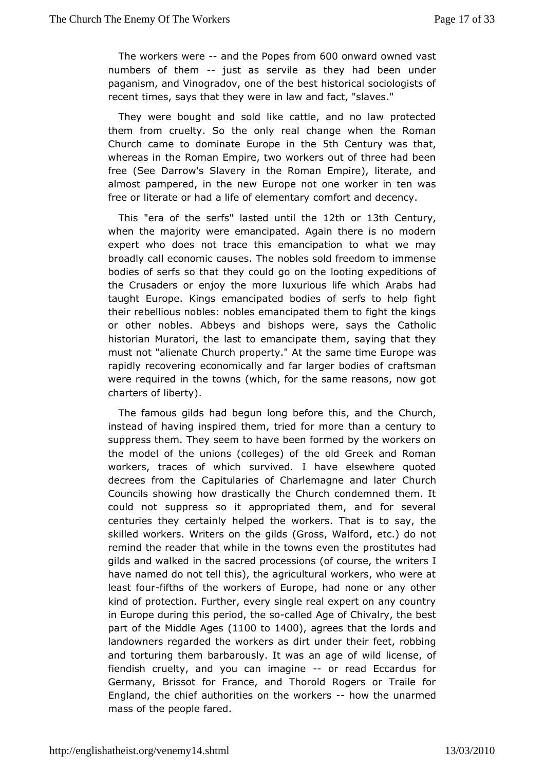The workers weared the Poper and 000 onward owned vast numbers of themust as servile as they hadd been paganism, and Vinogradov, one of the best historical sociolog recent times, says that they were in law and fact, "slaves."

They we beought and sold like cattle, and no law protected them from cruelty. So the alond bange when the Roman Church came to dominate Euro $5$ th Chenthuery whas t, whereas in the Roman Empire, two workers out of three had  $\vdash$ free (SeDearrow's Slavery in the Roman Empire), literate, an almost pampered, in the rope not one worker in ten was free or literate or had a life ot eend onethandy decency.

This"era of the  $s$  dafssted until  $1t2t$  be or13th Century, when the majority were emancipated. Again there is no mod expert wholones not trace this emancipation to what we may broadly call economic Tch and solds sold freedom to immense bodies of serfs so that they could ogion on the ditions of the Crusaders or enjoy the more luxuri Ausb sift had hich taught Europe. Kings emancipated bodies of serfs to help theirebellious nobles: nobles emancipated them to fight the k or other nobles beys and bishops were, says the Catholic historian Muratori, the emant the ate them, saying that they must not "alienate Church propesrame" Aimthe Europe was rapidly recovering economically and far bang esmbandies of were required in the towns (which, for the same reasons, nov charters of liberty).

The famous gilds had begun long before Chuirs, hand the instead of having inspired them, tried for more than a centu suppress them. They seem to have been formed by the worker the model of uthicons (colleges) of the old Greek and Roman workers, traces of which surtwaved.elsewhere quoted decrees from the Capitularies of Charlem & gnechand later Councils showing how drastically the Church condemned the could nostuppress so it appropriated them, and for several centuries they centealiphed the workers. That is to say, the skilled workers. Writers on Ghesgild&alford, etc.) do not remind the reader that while in the topwonstictweensthad gilds and walked in the sacred processionwor (befreolurse, the have named do not tell this), the agricultural workers, who we least folufths of the workers of Europe, had none or any oth kind opfrotection. Further, every single real expert on any cou in Europe duthing period, the alsted Age of Chivalry, the best part of the Middle  $1400$  agrees that the lords and landowners regarded the wolrkteusndast their feet, robbing and torturing them barbarously. It was idanicagnes of of fiendish cruelty, and you can-omangeined Eccardus for Germany, Brissot for France, and Thorold Rogers or Traile England, the abiteh for ities on the work boars the unarmed mass of the peapeed.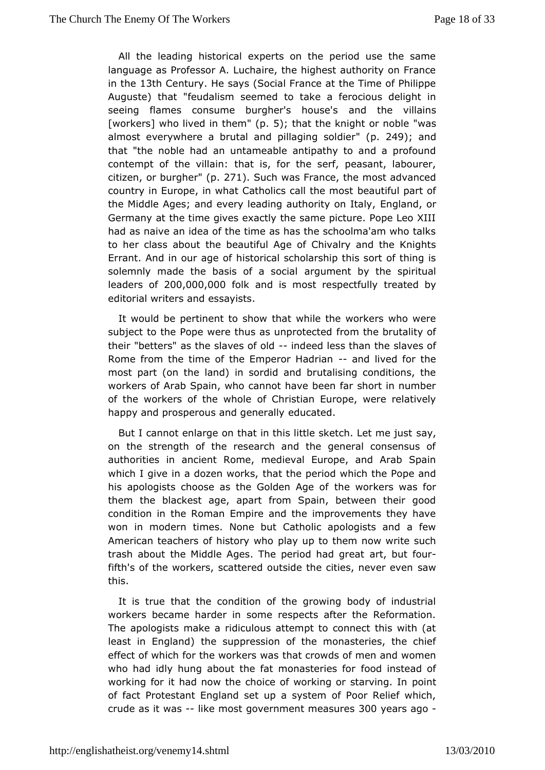All the leading historical experts on the period use the  $s$ language as Professor A. Luchaire, the highest authority on I in the 3th Century. He says (Social France at the Time of Philip Auguste) that "feuds a learned to take a ferocious delight in seeing flames consume burgher's noto the svillains [worke] swho lived in the m5); that the knight or "wasle almost everywhere a brutal and pilla $\mathfrak{g}$  in  $2af \mathfrak{g}$  odd der that "threoble had an untameable antipathy to and a profoun contempt of the vihlainis, for the serf, peasant, labourer, citizenr burgheb. 271. Suchwas France, the most advanced country in Europe, in what Catholicsbeaultithue massatt of the Middle Ages; and every leading aut**Eorgitand**, otraly, Germany at the time gives exactly the same picture. Pope Leo had as naive an idea of the time as has the schoolma'am who to her class bout the beautiful Age of Chivalry and the Knight Errant. And in our haigs to bifical scholarship this sort of thing is solemnly made the basis of a pausion enatl by the spiritual leaders  $2000,000,000$  k and is most resptee aftueldy by editorial writers and essayists.

It would be pertinent to ashowile the workers who were subject to the Pope were thus as fuomprohec bedtality of their "betters" as the slave indefed dess then slaves of Rome from the time of the Emper-oran Hola divand for the most part (on the land) in sordid and brutalising conditions workers  $\Delta$  fab Spain, who cannot have been far short in number of the workers of the of whole stian Europe, were relatively happy and prosperous and eqdeunceartaeldly

But I cannot enlarge on that in this little skseatych. Let me just on the strength of the research and the general consensu authorities anncient Rome, medieval Europe, and Arab Spain which I give in a dozenth worth the period which the Pope and his apologists choose as the GotholoenweAngkeerosf was for them the blackest age, apart from Spain, between their g condition in the Roman Empire and the improvements they h won in modetimes. None but Catholic apologists and a few American teachers of hispology who do them now write such trash about the Middle Ages. The peraot, had tareat fifth's of the workers, scattered outside the satwes, never eve this.

It is true that the condition of the growing body of indus workers became harder in some respects after the Reformat The apologists a ridiculous attempt to connect this with (at least in England up peession of the monasteries, the chief effect of which for the wotrhk aetr scrow awsds of men and women who had idly hung about the fat monasterines telecor of working for it had now the choice of working oontstarving. In of fact Protestant England set up a system of Poor Relief v crude ats was-like most government maagueass ago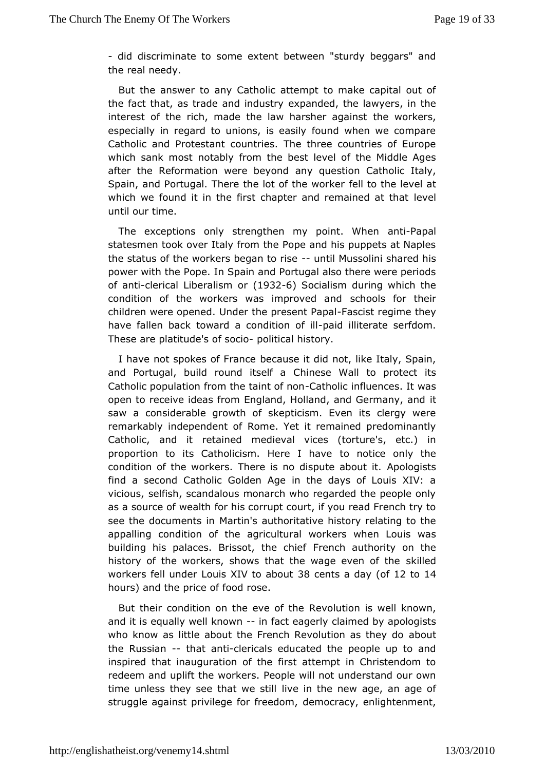- did discriminate to me extent between "sturdy beggars" and the real needy.

But the answeanyo Catholic attempt to make capital out of the fact that, as trade and industrian the lawyers, in the interest of the rich, made the law hathshew oakers at especially in regard to unions, is easily found when we con Catholic and Protestant countries. The three countries of E which sank mnoosttably from the best level of the Middle Ages after the Reformation wereambyeyounedstion Catholic Italy, Spain, and Portugal. There the lot foefilthe whoerklewel at which we found it in the first chapter and remained at that until our time.

The exceptions only strengthen my paonitriPtap Walhen statesmen took over Italy from the Pope and his puppets at N thestatus of the workers beganumoilriMessolini shared his power with Plope. In Spain and Portugal also there were period of antilerical Liberalism 326) Socialism during which the condition of the workers was impsrobleed sander their children were opened. Under the present Papth and  $r$ have fallen back toward a condatiion il bitein atte serfdom. Thesare platitude's ofpsolictical history.

I have not spokes of blecanuse it did not, like Italy, Spain, and Portugal, build round Chtisneels ea Wall to protect its Catholic population from the tabinth colincial unces. It was open to receive ideas from England, Holland, and Germany, and saw a considerable growth of skepticism. Even its clergy remarkabilny dependent of Rome. Yet it remained predominantl Catholic, and it retmaed edval vices (torture's, etc.) in proportion to its Catholicism. Heorenbtice evenly the condition of the workers. There is no di $\mathbf{\&}\mathbf{p}\mathbf{w}$  about  $\mathbf{\&}\mathbf{q}\mathbf{w}$  is find a second Catholic Golden Age in the days of Louis  $X$ vicious, selfish, scandalous monarch who regarded the people as a source exaith for his corrupt court, if you read French try see the documenMartinn's authoritative history relating to the appalling condition agritchueltural workers when Louis was building his palaces. BrissotFreme chiche faile for ity on the history of the workers, shows that the wagkille weden of the workers fell under Louis XIV38 to eabsount dans 12 to 14 hoursand the price of food rose.

But their condition on the eNeevoolfuttihoen is well known, and it is equally well-km of word eage raymed by apologists who know as little about the French Revoluathoomutas they do the Russian that andiericals educated the people up to and inspiret that inauguration of the first attempt in Christendom redeem and uplit to the rs. People will not understand our own time unless they see thatiwee institution hew age, an age of struggle against privilege fodefmeed act, enlightenment,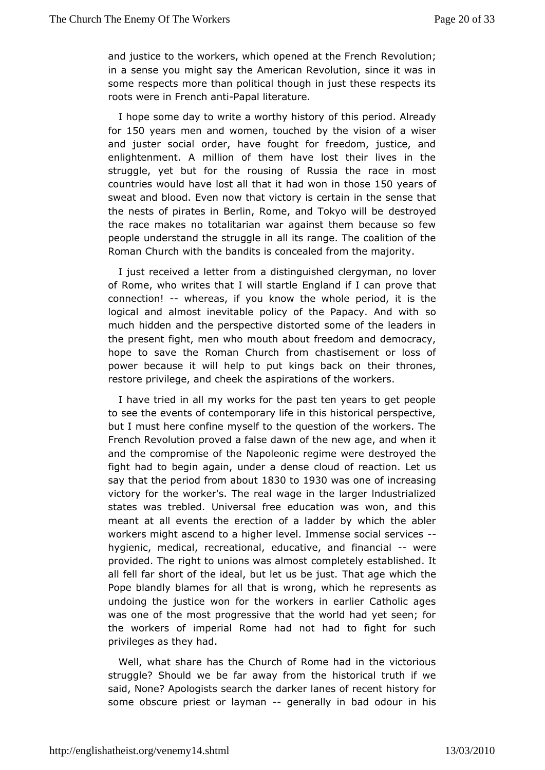and justice to the workers, which opene**Re**worlabio French in a sense you might say the American Revolution, since it v some respects more than political though in just these resper roots weime French - Papato al literature.

I hope some day to write a word hythis boerwod. Already  $for 150 years$  men and wotomethed by the vision is only a and juster social order, have fought for freedom, justice, enlightenment. A million of them have lost their lives in struggle, yet fout the rousing of Russia the race in most countries would have lost haald twhoan in thild5s0evears of sweat and blood. Even now that viction this seem seinthat the nests of pirates in Berlin, Rome, and estor koyce dwill be the race makes no totalitarian war against them because so peoplenderstand the struggle in all its range. The coalition o Roman Church twith the andits is concealed from the majority.

I just received a lettærdistom quished clergyman, no lover of Rome, who writes that I weining is a transfer if an england the  $I$ connection!whereas, if you know thpewibole it is the logical and almost inevitable policy of the Psapacy. And wi much hidden and the perspective distorted some of the leade the presentight, men who mouth about freedom and democracy, hope to save the Roman fComurchastisement or loss of power because it will help to put kitchgesirbtahankonoens, restore privilege, and cheek the aspwirearthions. of the

I have tried in all my works for the past ten years to get  $p_{\ell}$ to see the events of contemporary life in this historical persp but must here confine myself to the question of the workers. French Revolption wed a false dawn of the new age, and when it and the compromise Noaptonie onic regime were destroyed the fight had to begin again, underoaddensreaction. Let us say that the period from 8 a to the 30 was one increasing victory for the worker's. The real wage in the larger Industri states was trebled. Universal free education was won, and meant at allents the erection of a ladder by which the able workers might ascemidgthoeralevel. Immense social services hygienic, medical, recreatuicataik, and financeate provided. The right to unions ovaanspaletmedsytestablished. It all fell far short of the ideal, but Tehtatusachee winds the Pope blandly blames for all that is wroneupge swe hit csheep undoing the justice won for the workers in earlier Catholic was one of the most progressive that the world had yet seen the workersimoperial Rome had not had to fight for such privileges as they had.

Wellwhat share has the Church of Rome had in the victorious struggle? Should weer baeway from the historical truth if we said, None? Apologists sdeaarkeen thanes of recent history for some obscure priest or-lagyennemally biand odour in his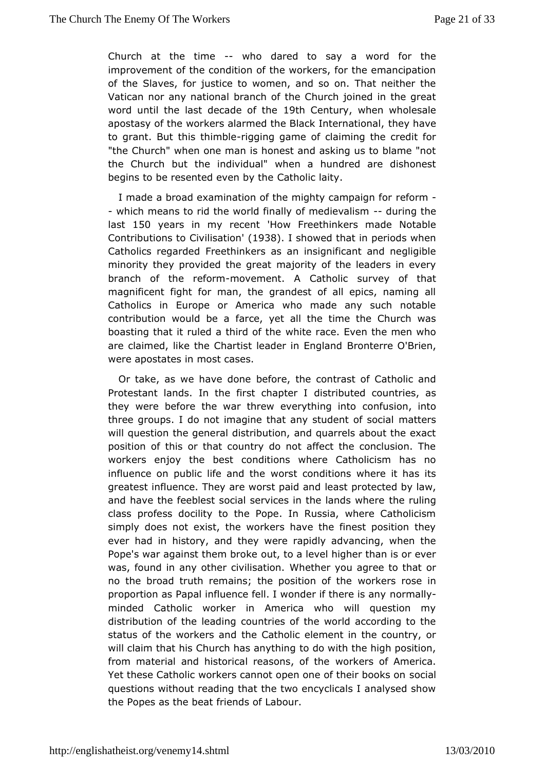Church at the time  $\theta$  dared to say a word for the improvement of the condition of the workers, for the emancip of the Slavfes, justice to women, and so on. That neither the Vatican nor any natriam and of the Church joined in the great word until the last decade of the ury, when wholesale apostasy of the workers alarmed the Blacthe but bare ational, to grant. But this thimong bing game of claiming the credit for "the Church" when one man is honest and asking us to blame the Church bhut individual" when a hundred are dishonest begins to be resented even tholibelaity.

I made a broad examination of the mighty ecampaign for - which means to rid the world finally of drue drig vtahlesm last150 years in my re'tent Freethinkers made Notable  $Contribution$   $\ddot{\textbf{S}}$  ivolisati $(\textbf{d} \,\textbf{S} \,3 \,\textbf{S} \,1)$  showed that in periods when Catholics regaler desed thinkers as an insignificant and negligible minority they provided the eajogreetay to the leaders in every branch of the remiormement. A Cathsoulricey of that magnificent fight for man, the grandest of all epics, namin Catholics in Europe or America who made any such nota contribution wouldfabree a yet all the time the Church was boasting that it ruled a thwind tefrance. Even the men who are claimed, like the Chartist lead **B**roimterre al @ndirien, were apostates in most cases.

Or take, as we havebedome, the contrast of Catholic and Protestant lands. In the first dicshtaipotuetred countries, as they were before the war threw evect philing into into three groups. I do not imagine that any strualtent sof social will question the general distribution, and quarrels about the position of this or that country do not affect the conclusion workers enjtchye best conditions where Catholicism has no influence on public lifew and the nditions where it has its greatest influence. They are wolres a spando a modied by law, and have the feeblest social services in tthe rlualning where class profess docility to the Pope. In Russia, where Catho simply does not exist, the workers have the finest position ever had hinstory, and they were rapidly advancing, when the Pope's war against theomuth rocked level higher than is or ever was, found in any other ciWihiestahteiony.ou agree to that or no the broad truth remains; the poswibirck refrichsee in proportion as Papal influence fell. I wondregrin fathing re is any minded Catholic worker in America who will question r distribution these leading countries of the world according to the status of the workets beachtholic element in the country, or will claim that his Church has aloywhith gthe high position, from material and historical reaswoonsk, erosf othe America. Yet these Catholic workers cannot open one scofctheir books on questions without reading that the two encyclicals I analysed thePopes as the beat friends of Labour.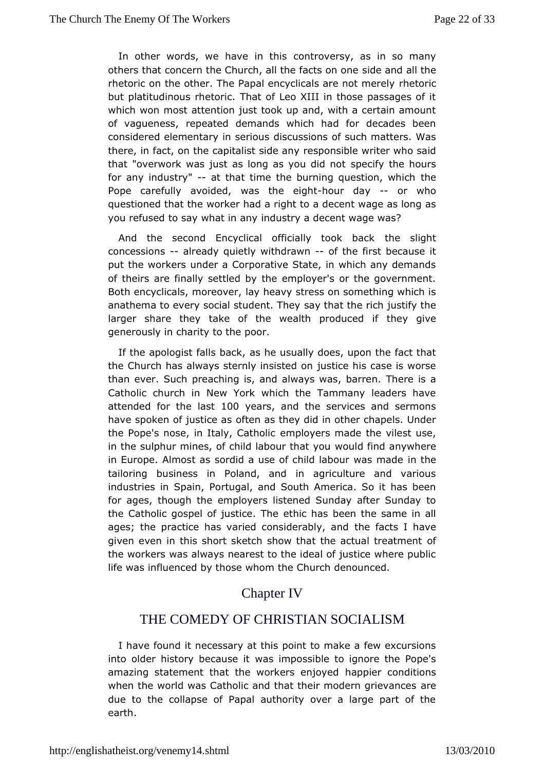In other words, we have comit bisersy, as in so many others that concern the Church, all the edfea catrs do and lo the e rhetoric on the other. The Papal encyclicals exterinot merely but platitudinous rhetoric. That of Leo XIII in those passage which won most attention just took up and, with a certain am of vaguenesspeated demands which had for decades been considered elementary idiseusosions of such matters. Was there, in fact, on the capitalist soods ible writer who said that "overwork was just as long asspecifoly id the othours for any industrat that time the burning questibe, which Pope carefully avoided, was-htchuer ediagyh-tor who questioned thaw otheer had a right to a decent wage as long as you refused to say whandusany a decent wage was?

And the second Encyclical officially the ocsklightack concessionalready quietly withdoawthe first because it put the workers under a Corporative State, in which any dem of theirs aimeally settled by the employer's or the government Both encyclicals, molpeworder, altress on something which is anathema to every social stusday tth and the rich justify the larger share they take of the wealth the gdugded if generously in charity to the poor.

If the apologist falles bhack was ually does, upon the fact that the Church has always sternly jurstisted is no ase is worse than ever. Such preaching is, and alwayTshewrees, isbarren. Catholic church in New York which the Tammany leaders h attendefobr the laisoto years and the services and sermons have spoken of jusoffdenaas they did in other chapels. Under the Pope's nose, in ItalyenCpaltchyoelis made the vilest use, in the sulphur mines, of child labwoouurlothfaindy oaunywhere in Europe. Almost as sordid a use of child labtoner was made tailoring business in Poland, and in agriculture and var industriers Spain, Portugal, and South America. So it has be for ages, thoughem the boyers listened Sunday after Sunday to the Catholic gospel of justice. hTabse been the same in all ages; the practice has varied considerably's and ave given even in this short sketch show that the of ctual treatme the workers was always nearest to the ideal of justice where life was fluenced by those whom the Church denounced.

# **ChapterIV**

# THE COMEDY OF CHRISTIAN SOCIALISM

I have found eidessary at this point to make a few excursions into older history becwaausse mipossible to ignore the Pope's amazing statement that the workehrappheoy conditions when the world was Catholic and that their madern grievance due to the collapse of Papal authority over a large part of earth.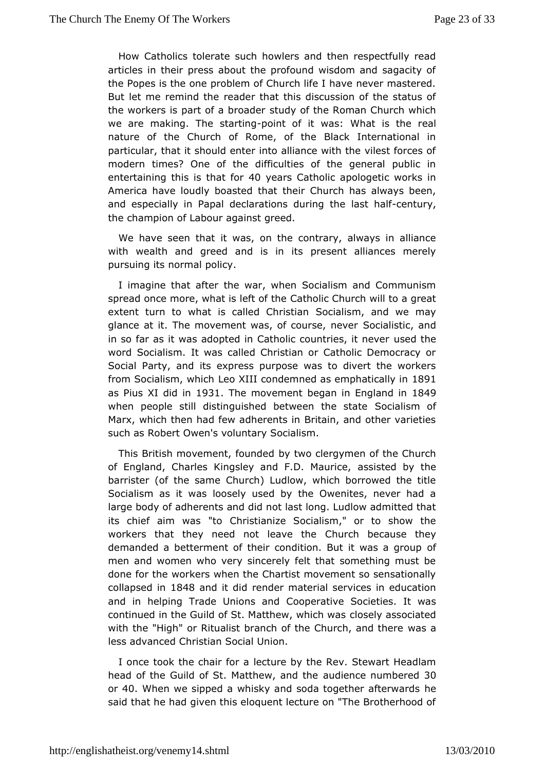How Catholics tolerate such howlers and then respectfully articles in their press about the profound wisdom and sagac the Popeshis one problem of Church life I have never mastere But let me reminde ald of that this discussion of the status of the workers is part of asturd packet the Roman Church which we are making. The sptoainting of it www.baat is the real nature of the Church of Rome, of the Black International particular, that it should enter into alliance with the vilest fc moderntimes? One of the difficulties of the general public entertaining the heat sfor 40 years Catholic apologetic works in America have loudly boastheed rt Conturch has always been, and especially in Papal declarations studention function the champion of Labour against greed.

We have seen itthawtas, on the contrary, always in alliance with wealth and greed and psesentts alliances merely pursuing its normal policy.

I imagine that alfete war, when Socialism and Communism spread once more, what is Ceeftth of ith@hurch will to a great extent turn to what is called S C chinal sits iman, and we may glance at it. The movement was, of Scoucrised is hiceveand in so far as it was adopted in Catholic counsent dielse it never word Socialism. It was called Christian or Catholic Democra SociaParty, and its express purpose was to divert the worker from Socialism, WehocXIII condemned as emphase Sctally in as Pius XI did $931$  The movem donetgan in England  $84$ i $9$ when people still distinguished betwe Seoncitalies mstaotfe Marx, which then had few adherents in Britain, and other var such as Robert Owen's voluntary Socialism.

This British movement, both who contergymen of the Church of England, Charles Kingsley and Fa.sO.s.is Meadurbige, the barrister (of the same Church) Ludlow, which borrowed the Socialism as it was loosely used by the Owenites, never h large bodya otherents and did not last long. Ludlow admitted that its chief aim wa $\mathcal L$  h to all anize Socialism," or to show the workers that they need not  $l$   $\mathbf \epsilon$  awe chind because they demanded a betterment of their condition. Bubfit was a grou men and women who very sincerely felt that something must done for whoerkers when the Chartist movement so sensationall collapsed 18m4 8 and it diednder material services in education and in helping Trade Uni**Gospenative Societies**. It was continued in the Guild of St. Mattheowoswehy canswersiated with the "High" or Ritualist branch of the Cwasch, and there less advanced Christian Social Union.

I once took the chair foturrea by the Rev. Stewart Headlam head of the Guild of St. Mattheaw, diaemote threum b & Oed or40. When we sipped a whisky and soda together afterwards said that he had given this eloquent lecture on "The Brotherh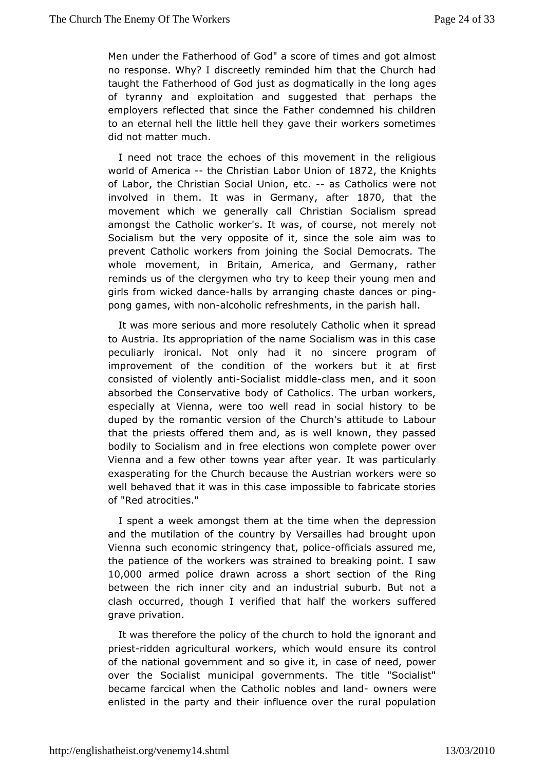Men undure Fatherhood of God" a score of times and got almost no response. Whys? creetly reminded him that the Church had taught the Fatherhood of Godgjmatiaslly in the long ages of tyranny and exploitation and suggest that perhaps the period of the person of the person of the person of the person of the person of the person of the person of the person of the person of the person of the person of t employers reflected that since the Father condemned his chi toan eternal hell the little hell they gave their workers some did not matmetrich.

I need not trace the echoes of this movement in the relig worloof Americathe Christian Labor Un&i7o2nthoef Knights of Labor, Chheristian Social Unio-naseCcatholics were not involved in them. It in wese rmanatier 1870 that the movement which we generally cal**SoC harliestima**n spread amongst the Catholic worker's. It was, of conose, not merely Socialism but the very opposite of it, since the sole aim w preven Catholic workers from joining the Social Democrats. T whole movement, Briintain, America, and Germany, rather reminds us of the clergymen kweheop trive to young men and girls from wicked-hdaalnhoseby arranging dcahnaosete or ping pong games, withal **com** olic refreshments, in hall. parish

It was more serious and more resolutely Catholic when it sp toAustria. Its appropriation of the name Socialism was in this peculiarly onical. Not only had it no sincere program of improvement of the conditthen woofrkers but it at first consisted of violen Sigcanitist midlolasmen, and it soon absorbed the Conservative body of Catholics. The urban wor especially at Vienna, were too well read in social history duped by trhoemantic version of the Church's attitude to Labou that the priests off hemedand, as is well known, they passed bodily to Socialism and lenctions won complete power over Vienna and a few other towns yearttawitees propertatioularly exasperating for the Church because the Awesterian workers well behaved that it was in this case impossible to fabricate of"Red atrocities."

I spent a week amongst them at the tidneep webseshoohe and the mutilation of the country by Versailles had brought Vienna such economic stringency of hiartial psolais seured me, the patieno fethe workers was strained to breaking point. I sa 10,000 armed police dax wonss a short section of the Ring between the rich inner city and asnubional bust to late in a clash occurred, though I verified that has luft flee need workers grave privation.

It was therefore the policy of the church to the orant and priestidden agricultural workers, which woubchtensure its of the national government and so give it, in case of need,  $\vert$ overthe Socialist municipal governments. The title "Social became farcical twhee Catholic nobles anodwhensd were enlisted in the party aimdidulence over the rural population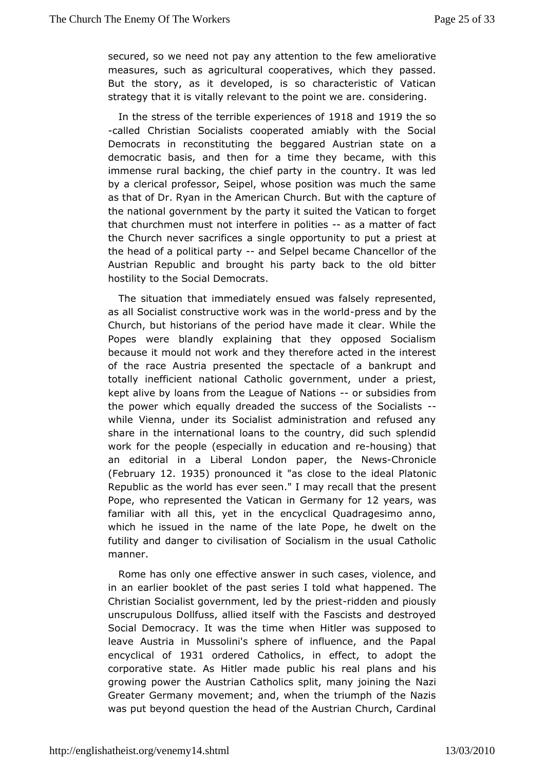secured, so we need not pay any the effew on mediorative measures, such as agricultural cooperatives as evonich they But the story, as it developed, is so characteristic of Va strated hat it is vitally relevant to the point we are. considering

In the tress of the terrible expetree and afethe so -called ChrisSiam alists cooperated amiably with the Social Democrats in reconstitutting gahed Austrian state on a democratic basis, and then for a time whith the same, immense rural backing, the chief party in the country. It wa by aclerical professor, Seipel, whose position was much the same as that of Dr. iR y tame American Church. But with the capture of the national government aby the suited the Vatican to forget that churchmen must not inponifeires as a matter of fact the Church never sacrifices a singlte opportunity to at the head of a political apdrovel pel became Chancellor Austrian Republic and brought his party back to the old b hostilitty the Social Democrats.

The situation that immediately ensuerdepwasefratles $\phi$ , y as all Socialist constructive work wapsreisnsthe dwind of d Church, but historians of the period have made it clear. Whi Popeswere blandly explaining that they opposed Socialis because it mould noathworth the refore acted in the interest of the race Austria presespied tablee of a bankrupt and totally inefficient national Catholicumoverampemiest, kept alive by loans from the League oofs Natidines sm the power which equally dreaded the success-of the Sociali whileVienna, under its Socialist administration and refused share in the ernational loans to the country, did such splend work for the pe(oepsipe ecially in education o and  $\sin \theta$  that an editorial in a Liberal palpoend, on the Newsonicle (Februany 21935 pronounced aist close to idhesal Platonic Republic as the world has ever seen." I mapyrerse and that the Popewho represented the Vatican in Gelery examples for familiawith all this, yet in the encyclical Quadragesimo ann which he issued imambe of the late Pope, he dwelt on the futility and danger to civisios aitabins mofin the usual Catholic manner.

Rome has only one effective sumstwectases, violence, and in an earlier booklet of the past wsheatels ab plood. The Christian Socialist government, ledriddyd eheapidoeustly unscrupulous Dollfuss, allied itself with the Fascists and dest Social Democracy. It was the time when Hitler was suppose leave Austria Muinsolini's sphere of influence, and the Papa encyclical 19<sup>3</sup>1 ordere Catholics, in effect, to adopt the corporative state. As Hitler made epubplanbisand his growing power the Austrian Catholics split, Mhaaniy joining the Greater Germany movement; and, when the triumph of the Na was put beyqudstion the head of the Austrian Church, Cardina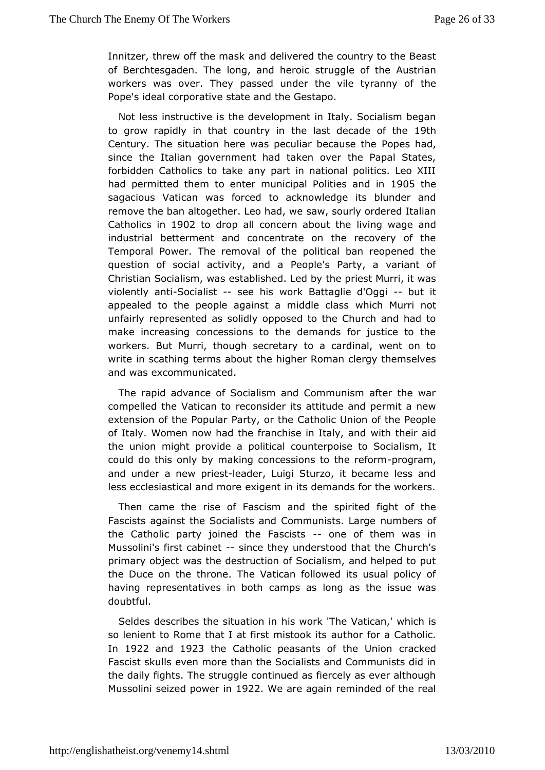Innitzer, threw off thæn**chads** Nivered the country to the Beast of Berchtesgaden. The long, and ong deo icef the Austrian workers was over. They passed under the the tyranny of Pope's ideal corporative state and the Gestapo.

Not less instrustithe development in Italy. Socialism began to grow rapidly in that cotumetrivasith decade of 9th he Century. The situation here was peculiaProphens ahuasde, the since the Italian government had taken over the Papal Sta forbidden Catholics to take any part in national politics. Le hadpermitted them to enter municipal Poll9t0 5 theand in sagacious Vatican fow cased to acknowledge its blunder and remove the ban altogether. Leawhadow by ordered Italian Catholics 1 Dr0 2 to drop all concern abowing hweage and industrial betterment and concentrate on the recovery of Temporal Power. The removal of the political ban reopened question of soaccital vity, and a People's Party, a variant of Christian Socialisens, tawbalsshed. Led by the priest Murri, it was violently anticialist see hisork Battaglie d'Olgqui it appealed to the people against a manddhe Mcularsis not unfairly represented as solidly opposed to the Church and h make increasing concessions to the demands for justice to workers. BMuturri, though secretary to a cardinal, went on to write in scathing termtsheathoigher Roman clergy themselves and was excommunicated.

The rapad vance of Socialism and Communism after the war compelled the Vatice anonionider its attitude and permit a new extension of the Popular PaCtayth or indention of the People of Italy. Women now had the franchisewinh Italevir and the union might provide a political counterpoise to Socialis could do this only by making concession-progritane, reform and under a pewesheader, Luigi Sturzo, it became less and less ecclesiastical anexologresontein its demands for the workers.

Then came the rise of Fasthsemspain dited fight of the Fascists against the Socialists and Communiments of arge the Catholic party joined the **Bascister and the manuform** was in Mussolini's first easbiimeet they understood that the Church's primargbject was the destruction of Socialism, and helped to the Duce on tthroene. The Vatican followed its usual policy of having representatives cimm post has long as the issue was doubtful.

Seldes describes the situation in The Vatican,' which is so lenient to Rome that I at firs auntheotro detritas Catholic. In 1922 and 1923 the Catholic peasants of tchreaclusedon Fascist skulls even more than the Socialists and Communists thedaily fights. The struggle continued as fiercely as ever alt Mussolismeized powet 922 We are again reminded of the real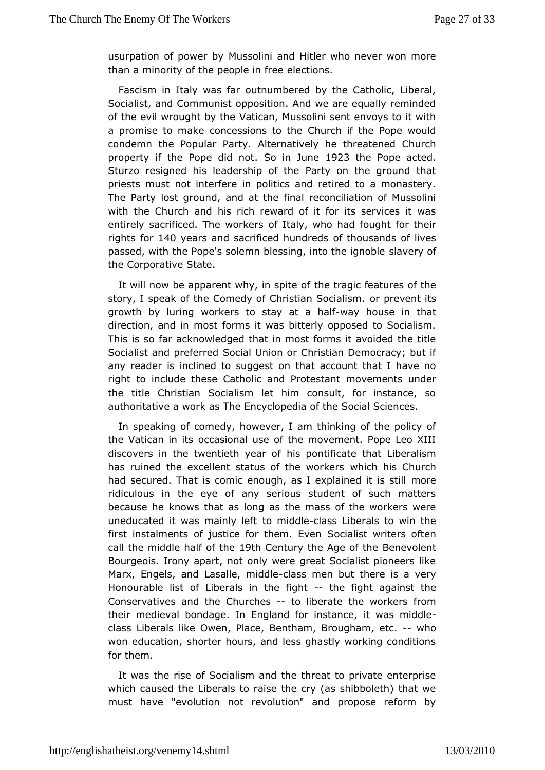usurpation of powMeusbsvolini and Hitler who never won more than a minority of the people cinofree

Fascism in Italy was far outnumbered by the Catholic, Lib Socialist, and Communist opposition. And we are equally rem of the ewirlought by the Vatican, Mussolini sent envoys to it w a promise to mcaokhecessions to the Church if the Pope would condemn the Popular APteentry atively he threatened Church property if the Pope  $\ddot{\mathbf{S}}$ d motJune  $\ddot{\mathbf{\theta}}$  23the Pope acted. Sturzo resigned his leadership of the Party on the ground priests must not interfere in politics and retired to a monast The Parltoyst ground, and at the final reconciliation of Musso with the Churchhiasn dich reward of it for its services it was entirely sacrificed. The o w out a keyr, s who had fought for their rights fo40 years and sacrificed houndred sands of lives passed, with the Pope's solemn blessing, slawee the ofignoble the Corporative State.

It will now be apparent why, time stating freatures of the story, I speak of the Comedy of Christian pr& oeinatlists. growth by luring workers to sta+wa eyt hao uhseadf in that direction, and in most forms it was bitterly opposed to Social This is fear acknowledged that in most forms it avoided the ti-Socialist and preseried Union or Christian Democracy; but if any reader is inclined to subgeogle at coorunt that I have no right to include these Catholic and oPeenterst sanunder the title Christian Socialism let him consult, for instance authoritative a work as The Encyclopedia of the Social Scienc

Inspeaking of comedy, however, I am thinking of the policy the Vatican incidasional use of the movement. Pope Leo XIII discovers in the twentieth is epondificate that Liberalism has ruined the excellent status of wthich his action urch had secured. That is comic enough, as I exmploariened it is still ridiculous in the eye of any serious student of such mat because heows that as long as the mass of the workers were uneducated it was maitroly mliefot beass Liberals to win the first instalments of justice for  $\texttt{Sbermal}$  is them. call the middle half outh the mentury the Age Boefn throulent Bourgeois. Irony apart, not only were great Socialist pioneer Marx, Engels, and Lasallelas msidmolben but there is a very Honourable dist Liberals in the -- fight fight against the Conservatives and the Chuochidosarate the workers from their medieval bondage. In England iftow as straindedele class Liberals like Owen, Place, Bentham, -Bwbogham, etc. won education, shorter hours, and less ghastly working cond forthem.

It was the rise of Socialism and the threat to private enter which caused the Liberals to raise the cry (as shibboleth) th must hav'e evolution not revolution" and propose reform by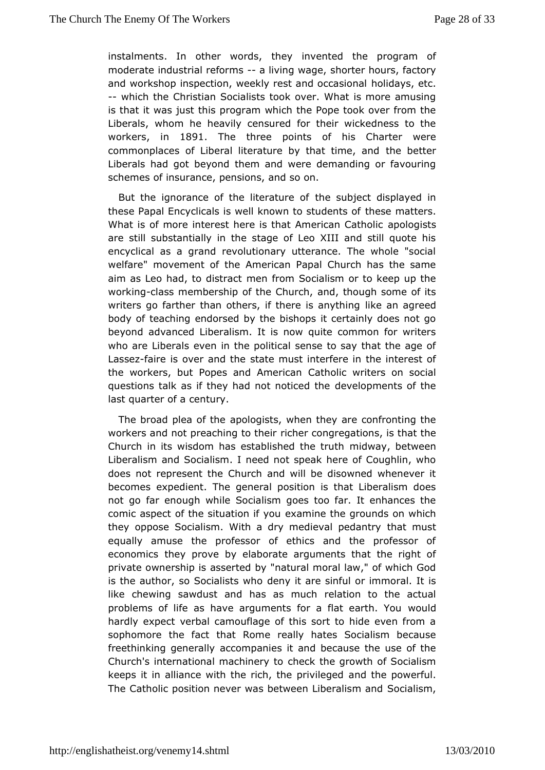instalments. In other whoendsinvented the program of moderate industrial reao him sing was theo riter hours, factory and workshop inspection, weekly rest **and dichacycsa**, sectual --which the Christian Socialists took over. What is more amust is that it was just this program which the Pope took over from Liberalwhom he heavily censured for their wickedness to th workersin 1891 The threpoints of his Charter were commonplaces of Liberal literature by tthe at the better, and Liberals had got beyond them and were demanding or favou schemes insurance, pensions, and so on.

But the ignorance of the literature biect displayed in these Papal Encyclicals is well known theset unded thess of What is of more interest here is that  $A$  maepodengists tholic are still substantially in the stage of Leo XIII and still quo encyclical as a grand revolutionary utterance. The whole "so welfaremovement of the American Papal Church has the sam aim as Leo had, to dhishracom Socialism or to keep up the working lass membership of the a G ountohough some of its writers go farther than others, if the rickeisanan ay otherengol body of teaching endorsed by the bishops it certainly does n beyond advanced Liberalism. It is now quite common for writ who are Liberats in the political sense to say that the age of Lassefzaire is over ansottathee must interfere in the interest of the workers, but Popes and CAamtheolic an nuriters on social questions talk as if they had notde odellop of the duestions talk as if the last quarter of a century.

The broad plea  $a$  fo the gists, when they are confronting the workers and not preaching dbetheom gregations, is that the Church in its wisdom has establishmeidd wildeg, thuetthween Liberalism and Socialism. I need not speak here of Coughlin does not represent the Church and will be disowned whenev becomes xpedient. The general position is that Liberalism do not go far enough Svokcillælism goes too far. It enhances the comic aspect of the situate a amingothe grounds on which they oppose Socialism. With a dry medite waal mpuesdtantry equally amuse the professor of ethics and the professor economidbey prove by elaborate arguments that the right o private owners haisps ested by "natural moral law," of which God is the author, so Sociadisty where sinful or immoral. It is like chewing sawdust and has realsatimous the actual problems of life as have arguments for a wilcautidearth. You hardly expect verbal camouflage of this sort to hide even fr sophomonthe fact that Rome really hates Socialism becaus freethinking genacab mpanies it and because the use of the Church's international macchienek ythe growth of Socialism keeps it in alliance with the rich,  $t$ hmed phieviphe gweed ful. The Catholic position never was between Sbichialing, mand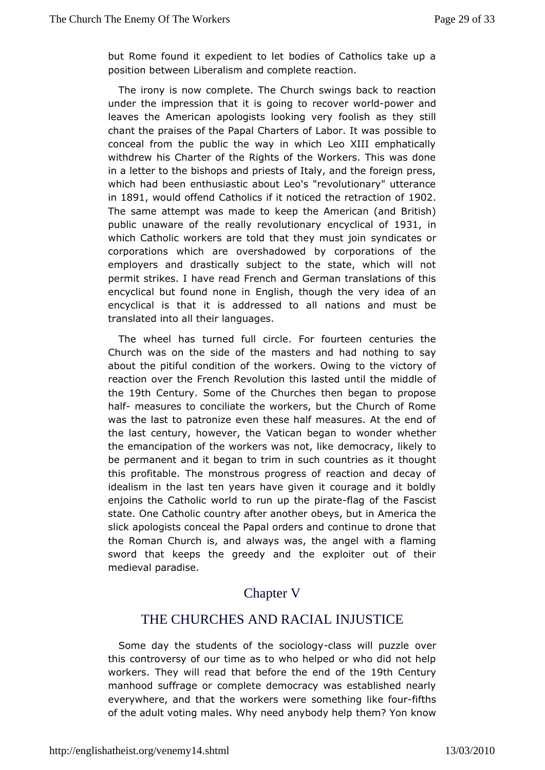but Rome found it expedient to let bodies of Catholics take position between Liberalism and complete reaction.

The irony is moonwplete. The Church swings back to reaction under the impression that it is recover-powered and leaves the American apologists lfcoookinsh werthey still chant the praises of the Papal Charters poof sls ab loer to t was conceal from the public the way in which Leo XIII emphation withdrew his Charter of the Rights of the Workers. This was in a lettethte bishops and priests of Italy, and the foreign pre which had beethusiastic about Leo's "revolutionary" utteranc  $in1891$  would offe $On$  adtholics if it noticed the r $\texttt{\&}$   $Pro$  action of The same attempt was mkæde to ke American (and British) public unaware of the really reevolutionary 081 in which Catholic workers are told that tshyenydime aset sjooim corporations which are overshadowed by corporations of employers and drastically subject to the state, which will permit strikesave read French and German translations of this encyclical but found **hough**, though the very idea of an encyclical is that it is addresmeetdonts and must be translated into all their languages.

The wheel hasned full circle. For fourteen centuries the Church was on the sidem  $\omega$  stelms and had nothing to say about the pitiful condition of the wolokehre. vOlowtionry of reaction over the French Revolution this miads dead outnil the the19th CenturSyome of the Churches then began to propose hal-fmeasures to conciliate the workers, but the Church of  $R_1$ was the laspattor onize even these half measures. At the end o the last century, howe Weartictan began to wonder whether the emancipation of the workers wdæsmonotaclykelikely to be permanent and it began to trim in suchthooughtties as it this profitable. The monstrous progress of reaction and dec idealism in the last ten years have given it courage and it enjoins the atholic world to run up the apportation Fascist state. One Catchooundry after another obeys, but in America the slick apologists con**eaa** althor ders and continue to drone that the Roman Church is, and alway angweals, witthe a flaming sword that keeps the greedy and the exploiter out of th medieval paradise.

## Chapter V

# THE CHURCHES ANDRACIAL INJUSTICE

Some day the students of the cleases owo bly pucked be this controversy of our time as to who helped or who did not workers. hey will read that before the 1e9 hhd Coentthuery manhood suffrage omoplete democracy was established nearly everywhere, and that the workerse the method like fifthets of the adult voting males. Why need tahneynb?odYyonheklppow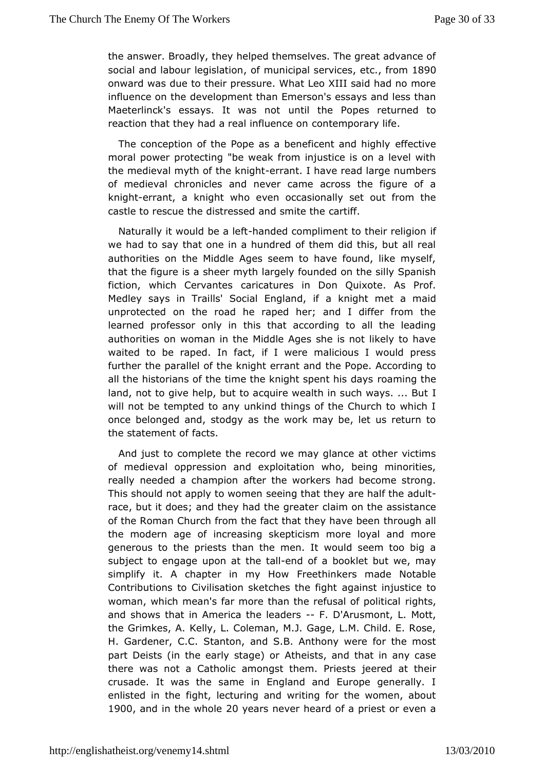the answer. Broadly, they helped themselves. The great advar social and labour legoslantuion cipal services om 1890 onward was e to their pressure. What Leo XIII said had no mor influence ond the lopment than Emerson's essays and less than Maeterlinck's essays. It wartsintote Popes returned to reaction that they had a real indihutem open roan ry life.

The conception of the Pope as a benefice effectain the highly moral power protecting "be weak from injustice is on a level themedieval myth of the eknambt I have read large numbers of medievoal ronicles and never came across the figure of  $\epsilon$ knigherrant, a knighteweno occasionally set out from the castle to rescue the distressed ameditionalite the

Naturally it would be a a ded tcompliment to the infreligion we had to say that one in a hundred of them did this, but all authorities on the Middle Ages seem to have found, like my that the figisra sheer myth largely founded on the silly Spanish fiction, which Cervaanteatures in Don Quixote. As Prof. Medley says in Traills' Social a Enkonling moth met a maid unprotected on the road he raped her; and I differ from learned professor only in this that according to all the le authorities womman in the Middle Ages she is not likely to have waited to be raped. In flacture malicious I would press further the parallel of the knighttherPampteanAccording to all the historians of the time the knight osapreint ght bedays land, not to give help, but to acquire wealth in Isuch ways... will not be tempted to any unkind things of the Church to wh oncebelonged and, stodgy as the work may be, let us return the statement a offs.

And just to complete the record we may glance at other vic of medieval oppression and exploitation who, being minorit really needed a mpion after the workers had become strong. This should not apply teewebmmethat they are half the adult race, but it does; and they had ctlhae mg roan at the assistance of the Roman Church from the fact that the outganvelbeen the modern age of increasing skepticism more loyal and m generouts the priests than the men. It would seem too big subject to engage utphoen tamelhd of a booklet but we, may simplify it. A chapter in Finyeehthoiwakers made Notable Contributions to Civilisation sketcangeasintshte infigulatice to woman, which mean's far more than the refuissionitis, political and shows that in America the Fle Dd & rssmont, L. Mott, theGrimkes, A. Kelly, L. Coleman, M.J. Gage, L.M. Child. E. Rose, H. Gardener, StaCnton, and S.B. Anthony were for the most part Deists (in the early **Atheests**, and that in any case there was not a Catholic amongst the eenred Praite stifs eir crusade. It was the same in England and Europe generall enlisted in the fight, lecturing and writing for the women,  $\epsilon$ 1900 and ithe whole years never heard of a priest or even a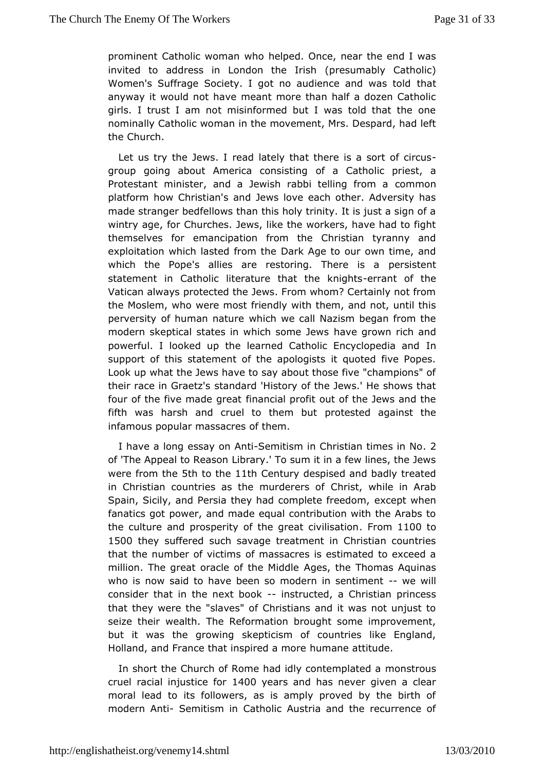prominent Catholic **who** a helped. Once, near the end I was invited to address in London (phesumably Catholic) Women's Suffrage Society. I got no audiencthe a and was told anyway it would not have meant more than half a dozen Cath girls. trust I am not misinformed but I was told that the on nominally Catholic inothethen movement, Mrs. Despard, had left the Church.

Let us try the Jewad Hately that there is a sort of circus group going about America  $\omega$ d sais  $\Omega$  a tholic priest, a Protestant minister, and a Jewish rabbi ctoenhiming from a platform how Christian's and Jews love each other. Adversit madestranger bedfellows than this holy trinity. It is just a sign wintry age, Churches. Jews, like the workers, have had to fight themselves comancipation from the Christian tyranny and exploitation which lasted Dfaokn Atone to our own time, and which the Pope's allies are restoring.peT sies theents a statement in Catholic literature thaterthant kofghhe Vatican always protected the Jews. From whom? Certainly not the Moslem, whoe most friendly with them, and not, until this perversity of human whait which we call Nazism began from the modern skeptical states in whichh some growns rich and powerful. I looked up the learned Catholic Elmcyclopedia ar support of this statement of the apologists it quoted five P Look uwphat the Jews have to say about those five "champions" their race in Grateat a dsard 'History of the Jews.' He shows that four of the five madeing receital profit out of the Jews and the fifth was harsh and cruel to pthoetnest bend against the infamous popular massacres of them.

I have a loensgsay on ASnetimitism in Christian tim 2es in No. of 'The Appeal to Rebarsaory.' To sum it in a few lines, the Jews were from 5he to the th Century despised and badly treated in Christian countries as the m**Q**hdestegrswhoifle in Arab Spain, Sicily, and Persia they had comepx  $e e e$  of we head nom, fanatics got power, and made equal contribution with the Ara the culture and prosperity of the greatocnition 1500 theysuffered such savage treatment in Christian countri that the number of wifctmassacres is estimated to exceed a million. The great oracle of AgesMitchdeleThomas Aquinas who is now said to have been so modern-whe swentliment consider that in the nextimbodouncted, a Christian princess thatthey were the "slaves" of Christians and it was not unjus seize thewieralth. The Reformation brought some improvement, but it was the groswkierpoticism of countries like England, Holland, and France that insphrend an ematteitude.

In short the Church of Rome had idly croponeshing blasted a cruel racial injust1de Ofyoerars and has never given a clear moral lead to its followers, as is amply proved by the birt modern A-n\$iemitism in Catholic Austria and the recurrence c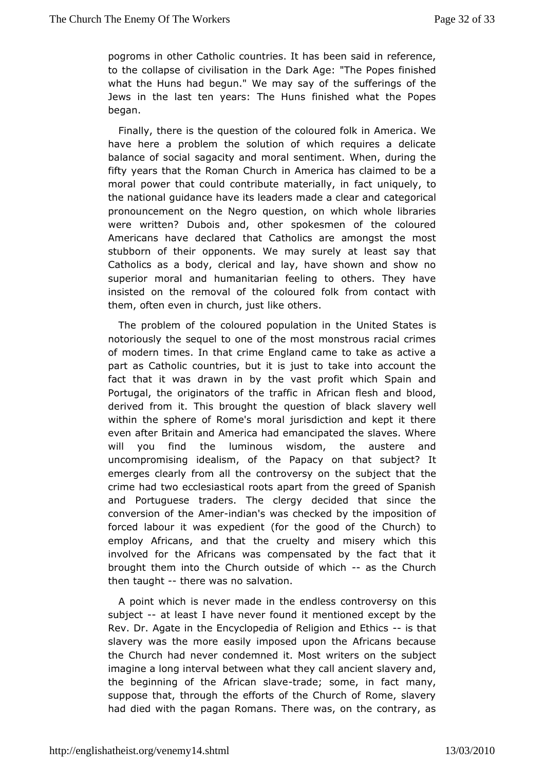pogroms in other Caohum timines. It has been said in reference, to the collapse of civilisaDiomk iAgthe" The Popes finished what the Huns had begun." We may sustafyer on gtsheof the Jews in the last ten years: The Huns finished what the P began.

Finally, there is the question of the coloured folk in Americ have here a problem the solution of which requires a deli balance of seagacity and moral sentiment. When, during the fifty years that the Romain CAmuecinca has claimed to be a moral power that could contribute manuterumalilayueily, to the national guidance have its leaders meanate goo ciloesalr and pronouncement on the Negro question, on which whole libra werewritten? Dubois and, other spokesmen of the coloure Americans have dechante Catholics are amongst the most stubborn of their opponents. We antay east rest that Catholics as a body, clerical and lay, have shown and sho superior moral and humanitarian feeling to others. They h insisted on rehme oval of the coloured folk from contact with them, often even in chulrickle, guise rs.

The problem of the coloured population in the United State notoriously the sequel to one of the most monstrous racial c of modetinmes. In that crime England came to take as active part as Cathood untries, but it is just to take into account the fact that it was drawnthien bayst profit which Spain and Portugal, the originators of the efrican friction and blood, derived from it. This brought the quesstliaownergy wbetalck within the sphere of Rome's moral jurisdiction and kept it even after Britain and America had emancipated the slaves. Where will you fint de luminous wisdom, the austere and uncompromising idealism, of the fhaapta osyubojenct? It emerges clearly from all the controversy on tthe subject that crime had two ecclesiastical roots apart from the greed of Sp and Portuguese traders. The clergy decided that since t conversion of A the Amerindian's was checked by the imposition of forced labour it was experdient good of the Church) to employ Africans, and that the cruelty which multistary involved for the Africans was compensated by the fact that broughtthem into the Church outside-cafs with iechChurch then taughthere was salvation.

A point which is never made in the endlessthas ntroversy on subject at least I have never found it mentioned except by th  $Rev.$  DAgate in the Encyclopedia of Religions at that Ethics slavery was the emacsriey imposed upon the Africans because the Church had never condemneworlters Most the subject imagine a long interval between what the usua wearly and jent the beginning of the  $A$ fri $d$ aandes; laseme, in fact many, suppose that, through the efforts of the Church of Rome, sla had died wilthe pagan Romans. There was, on the contrary, as